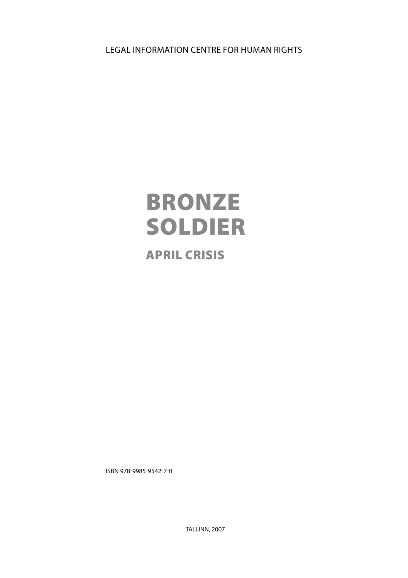Legal information centre for human rights

# Bronze **SOLDIER**

# April crisis

ISBN 978-9985-9542-7-0

TALLINN, 2007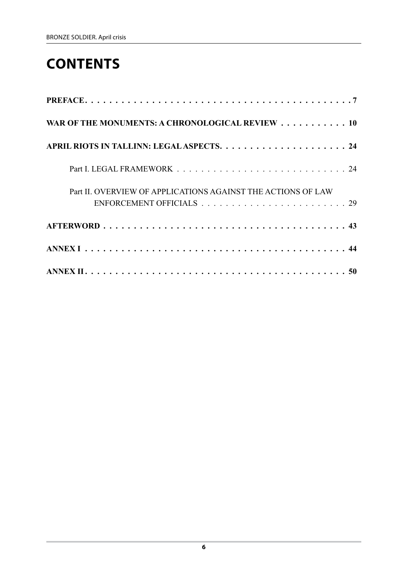# **сontents**

| WAR OF THE MONUMENTS: A CHRONOLOGICAL REVIEW 10              |
|--------------------------------------------------------------|
|                                                              |
|                                                              |
| Part II. OVERVIEW OF APPLICATIONS AGAINST THE ACTIONS OF LAW |
|                                                              |
|                                                              |
|                                                              |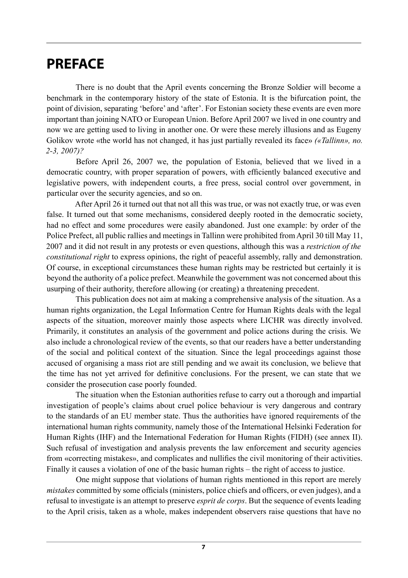# **PREFACE**

There is no doubt that the April events concerning the Bronze Soldier will become a benchmark in the contemporary history of the state of Estonia. It is the bifurcation point, the point of division, separating 'before' and 'after'. For Estonian society these events are even more important than joining NATO or European Union. Before April 2007 we lived in one country and now we are getting used to living in another one. Or were these merely illusions and as Eugeny Golikov wrote «the world has not changed, it has just partially revealed its face» *(«Tallinn», no. 2‑3, 2007)?*

Before April 26, 2007 we, the population of Estonia, believed that we lived in a democratic country, with proper separation of powers, with efficiently balanced executive and legislative powers, with independent courts, a free press, social control over government, in particular over the security agencies, and so on.

After April 26 it turned out that not all this was true, or was not exactly true, or was even false. It turned out that some mechanisms, considered deeply rooted in the democratic society, had no effect and some procedures were easily abandoned. Just one example: by order of the Police Prefect, all public rallies and meetings in Tallinn were prohibited from April 30 till May 11, 2007 and it did not result in any protests or even questions, although this was a *restriction of the constitutional right* to express opinions, the right of peaceful assembly, rally and demonstration. Of course, in exceptional circumstances these human rights may be restricted but certainly it is beyond the authority of a police prefect. Meanwhile the government was not concerned about this usurping of their authority, therefore allowing (or creating) a threatening precedent.

This publication does not aim at making a comprehensive analysis of the situation. As a human rights organization, the Legal Information Centre for Human Rights deals with the legal aspects of the situation, moreover mainly those aspects where LICHR was directly involved. Primarily, it constitutes an analysis of the government and police actions during the crisis. We also include a chronological review of the events, so that our readers have a better understanding of the social and political context of the situation. Since the legal proceedings against those accused of organising a mass riot are still pending and we await its conclusion, we believe that the time has not yet arrived for definitive conclusions. For the present, we can state that we consider the prosecution case poorly founded.

The situation when the Estonian authorities refuse to carry out a thorough and impartial investigation of people's claims about cruel police behaviour is very dangerous and contrary to the standards of an EU member state. Thus the authorities have ignored requirements of the international human rights community, namely those of the International Helsinki Federation for Human Rights (IHF) and the International Federation for Human Rights (FIDH) (see annex II). Such refusal of investigation and analysis prevents the law enforcement and security agencies from «correcting mistakes», and complicates and nullifies the civil monitoring of their activities. Finally it causes a violation of one of the basic human rights – the right of access to justice.

One might suppose that violations of human rights mentioned in this report are merely *mistakes* committed by some officials (ministers, police chiefs and officers, or even judges), and a refusal to investigate is an attempt to preserve *esprit de corps*. But the sequence of events leading to the April crisis, taken as a whole, makes independent observers raise questions that have no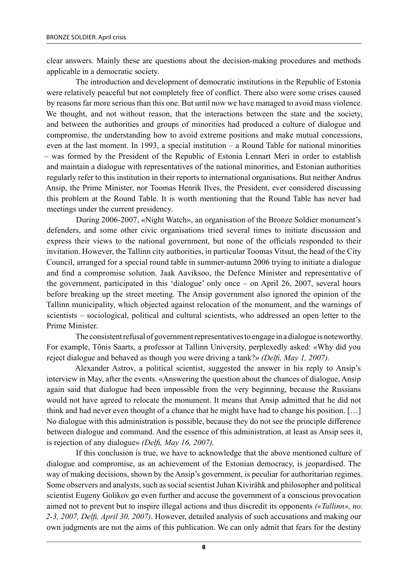clear answers. Mainly these are questions about the decision-making procedures and methods applicable in a democratic society.

The introduction and development of democratic institutions in the Republic of Estonia were relatively peaceful but not completely free of conflict. There also were some crises caused by reasons far more serious than this one. But until now we have managed to avoid mass violence. We thought, and not without reason, that the interactions between the state and the society, and between the authorities and groups of minorities had produced a culture of dialogue and compromise, the understanding how to avoid extreme positions and make mutual concessions, even at the last moment. In 1993, a special institution – a Round Table for national minorities – was formed by the President of the Republic of Estonia Lennart Meri in order to establish and maintain a dialogue with representatives of the national minorities, and Estonian authorities regularly refer to this institution in their reports to international organisations. But neither Andrus Ansip, the Prime Minister, nor Toomas Henrik Ilves, the President, ever considered discussing this problem at the Round Table. It is worth mentioning that the Round Table has never had meetings under the current presidency.

During 2006-2007, «Night Watch», an organisation of the Bronze Soldier monument's defenders, and some other civic organisations tried several times to initiate discussion and express their views to the national government, but none of the officials responded to their invitation. However, the Tallinn city authorities, in particular Toomas Vitsut, the head of the City Council, arranged for a special round table in summer-autumn 2006 trying to initiate a dialogue and find a compromise solution. Jaak Aaviksoo, the Defence Minister and representative of the government, participated in this 'dialogue' only once – on April 26, 2007, several hours before breaking up the street meeting. The Ansip government also ignored the opinion of the Tallinn municipality, which objected against relocation of the monument, and the warnings of scientists – sociological, political and cultural scientists, who addressed an open letter to the Prime Minister.

The consistent refusal of government representatives to engage in a dialogue is noteworthy. For example, Tõnis Saarts, a professor at Tallinn University, perplexedly asked: «Why did you reject dialogue and behaved as though you were driving a tank?» *(Delfi, May 1, 2007).*

Alexander Astrov, a political scientist, suggested the answer in his reply to Ansip's interview in May, after the events. «Answering the question about the chances of dialogue, Ansip again said that dialogue had been impossible from the very beginning, because the Russians would not have agreed to relocate the monument. It means that Ansip admitted that he did not think and had never even thought of a chance that he might have had to change his position. […] No dialogue with this administration is possible, because they do not see the principle difference between dialogue and command. And the essence of this administration, at least as Ansip sees it, is rejection of any dialogue» *(Delfi, May 16, 2007).*

If this conclusion is true, we have to acknowledge that the above mentioned culture of dialogue and compromise, as an achievement of the Estonian democracy, is jeopardised. The way of making decisions, shown by the Ansip's government, is peculiar for authoritarian regimes. Some observers and analysts, such as social scientist Juhan Kivirähk and philosopher and political scientist Eugeny Golikov go even further and accuse the government of a conscious provocation aimed not to prevent but to inspire illegal actions and thus discredit its opponents *(«Tallinn», no. 2‑3, 2007, Delfi, April 30, 2007)*. However, detailed analysis of such accusations and making our own judgments are not the aims of this publication. We can only admit that fears for the destiny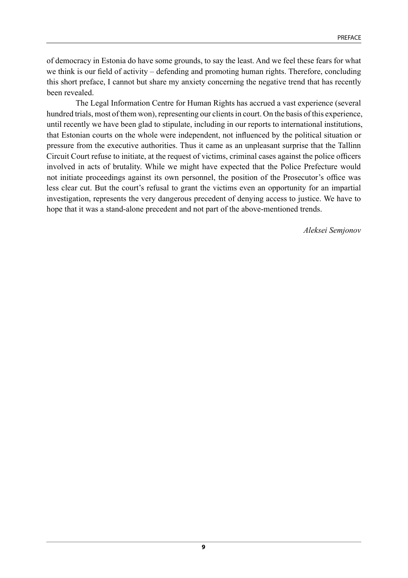of democracy in Estonia do have some grounds, to say the least. And we feel these fears for what we think is our field of activity – defending and promoting human rights. Therefore, concluding this short preface, I cannot but share my anxiety concerning the negative trend that has recently been revealed.

The Legal Information Centre for Human Rights has accrued a vast experience (several hundred trials, most of them won), representing our clients in court. On the basis of this experience, until recently we have been glad to stipulate, including in our reports to international institutions, that Estonian courts on the whole were independent, not influenced by the political situation or pressure from the executive authorities. Thus it came as an unpleasant surprise that the Tallinn Circuit Court refuse to initiate, at the request of victims, criminal cases against the police officers involved in acts of brutality. While we might have expected that the Police Prefecture would not initiate proceedings against its own personnel, the position of the Prosecutor's office was less clear cut. But the court's refusal to grant the victims even an opportunity for an impartial investigation, represents the very dangerous precedent of denying access to justice. We have to hope that it was a stand-alone precedent and not part of the above-mentioned trends.

*Aleksei Semjonov*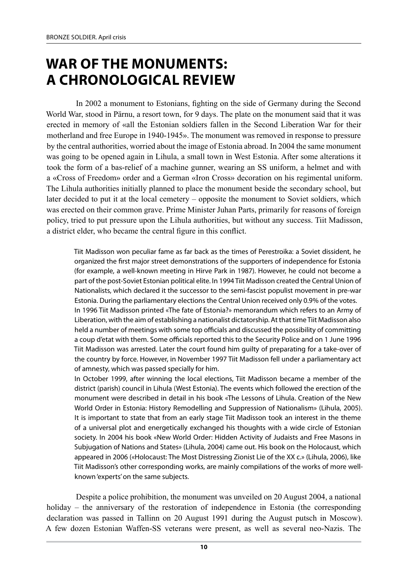# **War of the Monuments: A Chronological Review**

In 2002 a monument to Estonians, fighting on the side of Germany during the Second World War, stood in Pärnu, a resort town, for 9 days. The plate on the monument said that it was erected in memory of «all the Estonian soldiers fallen in the Second Liberation War for their motherland and free Europe in 1940-1945». The monument was removed in response to pressure by the central authorities, worried about the image of Estonia abroad. In 2004 the same monument was going to be opened again in Lihula, a small town in West Estonia. After some alterations it took the form of a bas-relief of a machine gunner, wearing an SS uniform, a helmet and with a «Cross of Freedom» order and a German «Iron Cross» decoration on his regimental uniform. The Lihula authorities initially planned to place the monument beside the secondary school, but later decided to put it at the local cemetery – opposite the monument to Soviet soldiers, which was erected on their common grave. Prime Minister Juhan Parts, primarily for reasons of foreign policy, tried to put pressure upon the Lihula authorities, but without any success. Tiit Madisson, a district elder, who became the central figure in this conflict.

Tiit Madisson won peculiar fame as far back as the times of Perestroika: a Soviet dissident, he organized the first major street demonstrations of the supporters of independence for Estonia (for example, a well-known meeting in Hirve Park in 1987). However, he could not become a part of the post-Soviet Estonian political elite. In 1994 Tiit Madisson created the Central Union of Nationalists, which declared it the successor to the semi-fascist populist movement in pre-war Estonia. During the parliamentary elections the Central Union received only 0.9% of the votes. In 1996 Tiit Madisson printed «The fate of Estonia?» memorandum which refers to an Army of Liberation, with the aim of establishing a nationalist dictatorship. At that time Tiit Madisson also held a number of meetings with some top officials and discussed the possibility of committing a coup d'etat with them. Some officials reported this to the Security Police and on 1 June 1996 Tiit Madisson was arrested. Later the court found him guilty of preparating for a take-over of the country by force. However, in November 1997 Tiit Madisson fell under a parliamentary act of amnesty, which was passed specially for him.

In October 1999, after winning the local elections, Tiit Madisson became a member of the district (parish) council in Lihula (West Estonia). The events which followed the erection of the monument were described in detail in his book «The Lessons of Lihula. Creation of the New World Order in Estonia: History Remodelling and Suppression of Nationalism» (Lihula, 2005). It is important to state that from an early stage Tiit Madisson took an interest in the theme of a universal plot and energetically exchanged his thoughts with a wide circle of Estonian society. In 2004 his book «New World Order: Hidden Activity of Judaists and Free Masons in Subjugation of Nations and States» (Lihula, 2004) came out. His book on the Holocaust, which appeared in 2006 («Holocaust: The Most Distressing Zionist Lie of the XX c.» (Lihula, 2006), like Tiit Madisson's other corresponding works, are mainly compilations of the works of more wellknown 'experts' on the same subjects.

Despite a police prohibition, the monument was unveiled on 20 August 2004, a national holiday – the anniversary of the restoration of independence in Estonia (the corresponding declaration was passed in Tallinn on 20 August 1991 during the August putsch in Moscow). A few dozen Estonian Waffen-SS veterans were present, as well as several neo-Nazis. The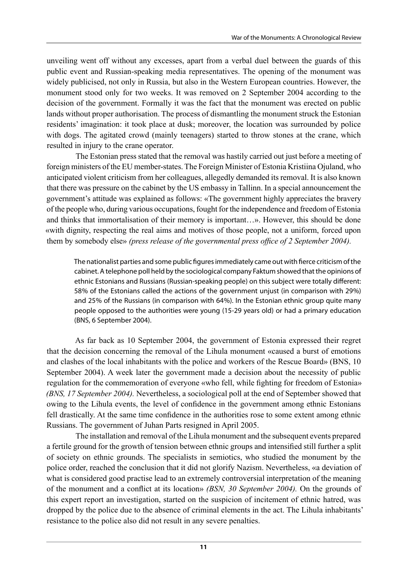unveiling went off without any excesses, apart from a verbal duel between the guards of this public event and Russian-speaking media representatives. The opening of the monument was widely publicised, not only in Russia, but also in the Western European countries. However, the monument stood only for two weeks. It was removed on 2 September 2004 according to the decision of the government. Formally it was the fact that the monument was erected on public lands without proper authorisation. The process of dismantling the monument struck the Estonian residents' imagination: it took place at dusk; moreover, the location was surrounded by police with dogs. The agitated crowd (mainly teenagers) started to throw stones at the crane, which resulted in injury to the crane operator.

The Estonian press stated that the removal was hastily carried out just before a meeting of foreign ministers of the EU member-states. The Foreign Minister of Estonia Kristiina Ojuland, who anticipated violent criticism from her colleagues, allegedly demanded its removal. It is also known that there was pressure on the cabinet by the US embassy in Tallinn. In a special announcement the government's attitude was explained as follows: «The government highly appreciates the bravery of the people who, during various occupations, fought for the independence and freedom of Estonia and thinks that immortalisation of their memory is important…». However, this should be done «with dignity, respecting the real aims and motives of those people, not a uniform, forced upon them by somebody else» *(press release of the governmental press office of 2 September 2004).*

The nationalist parties and some public figures immediately came out with fierce criticism of the cabinet. A telephone poll held by the sociological company Faktum showed that the opinions of ethnic Estonians and Russians (Russian-speaking people) on this subject were totally different: 58% of the Estonians called the actions of the government unjust (in comparison with 29%) and 25% of the Russians (in comparison with 64%). In the Estonian ethnic group quite many people opposed to the authorities were young (15-29 years old) or had a primary education (BNS, 6 September 2004).

As far back as 10 September 2004, the government of Estonia expressed their regret that the decision concerning the removal of the Lihula monument «caused a burst of emotions and clashes of the local inhabitants with the police and workers of the Rescue Board» (BNS, 10 September 2004). A week later the government made a decision about the necessity of public regulation for the commemoration of everyone «who fell, while fighting for freedom of Estonia» *(BNS, 17 September 2004).* Nevertheless, a sociological poll at the end of September showed that owing to the Lihula events, the level of confidence in the government among ethnic Estonians fell drastically. At the same time confidence in the authorities rose to some extent among ethnic Russians. The government of Juhan Parts resigned in April 2005.

The installation and removal of the Lihula monument and the subsequent events prepared a fertile ground for the growth of tension between ethnic groups and intensified still further a split of society on ethnic grounds. The specialists in semiotics, who studied the monument by the police order, reached the conclusion that it did not glorify Nazism. Nevertheless, «a deviation of what is considered good practise lead to an extremely controversial interpretation of the meaning of the monument and a conflict at its location» *(BSN, 30 September 2004).* On the grounds of this expert report an investigation, started on the suspicion of incitement of ethnic hatred, was dropped by the police due to the absence of criminal elements in the act. The Lihula inhabitants' resistance to the police also did not result in any severe penalties.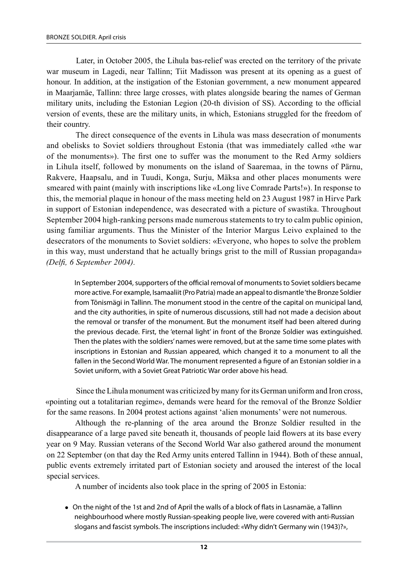Later, in October 2005, the Lihula bas-relief was erected on the territory of the private war museum in Lagedi, near Tallinn; Tiit Madisson was present at its opening as a guest of honour. In addition, at the instigation of the Estonian government, a new monument appeared in Maarjamäe, Tallinn: three large crosses, with plates alongside bearing the names of German military units, including the Estonian Legion (20‑th division of SS). According to the official version of events, these are the military units, in which, Estonians struggled for the freedom of their country.

The direct consequence of the events in Lihula was mass desecration of monuments and obelisks to Soviet soldiers throughout Estonia (that was immediately called «the war of the monuments»). The first one to suffer was the monument to the Red Army soldiers in Lihula itself, followed by monuments on the island of Saaremaa, in the towns of Pärnu, Rakvere, Haapsalu, and in Tuudi, Konga, Surju, Mäksa and other places monuments were smeared with paint (mainly with inscriptions like «Long live Comrade Parts!»). In response to this, the memorial plaque in honour of the mass meeting held on 23 August 1987 in Hirve Park in support of Estonian independence, was desecrated with a picture of swastika. Throughout September 2004 high-ranking persons made numerous statements to try to calm public opinion, using familiar arguments. Thus the Minister of the Interior Margus Leivo explained to the desecrators of the monuments to Soviet soldiers: «Everyone, who hopes to solve the problem in this way, must understand that he actually brings grist to the mill of Russian propaganda» *(Delfi, 6 September 2004).*

In September 2004, supporters of the official removal of monuments to Soviet soldiers became more active. For example, Isamaaliit (Pro Patria) made an appeal to dismantle 'the Bronze Soldier from Tõnismägi in Tallinn. The monument stood in the centre of the capital on municipal land, and the city authorities, in spite of numerous discussions, still had not made a decision about the removal or transfer of the monument. But the monument itself had been altered during the previous decade. First, the 'eternal light' in front of the Bronze Soldier was extinguished. Then the plates with the soldiers' names were removed, but at the same time some plates with inscriptions in Estonian and Russian appeared, which changed it to a monument to all the fallen in the Second World War. The monument represented a figure of an Estonian soldier in a Soviet uniform, with a Soviet Great Patriotic War order above his head.

Since the Lihula monument was criticized by many for its German uniform and Iron cross, «pointing out a totalitarian regime», demands were heard for the removal of the Bronze Soldier for the same reasons. In 2004 protest actions against 'alien monuments' were not numerous.

Although the re-planning of the area around the Bronze Soldier resulted in the disappearance of a large paved site beneath it, thousands of people laid flowers at its base every year on 9 May. Russian veterans of the Second World War also gathered around the monument on 22 September (on that day the Red Army units entered Tallinn in 1944). Both of these annual, public events extremely irritated part of Estonian society and aroused the interest of the local special services.

A number of incidents also took place in the spring of 2005 in Estonia:

<sup>l</sup> On the night of the 1st and 2nd of April the walls of a block of flats in Lasnamäe, a Tallinn neighbourhood where mostly Russian-speaking people live, were covered with anti-Russian slogans and fascist symbols. The inscriptions included: «Why didn't Germany win (1943)?»,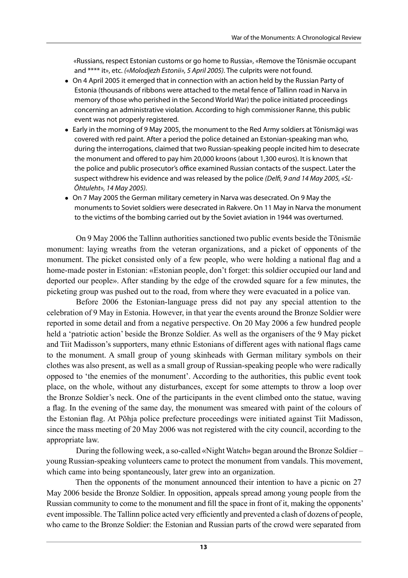«Russians, respect Estonian customs or go home to Russia», «Remove the Tõnismäe occupant and \*\*\*\* it», etc. *(«Molodjezh Estonii», 5 April 2005).* The culprits were not found.

- On 4 April 2005 it emerged that in connection with an action held by the Russian Party of Estonia (thousands of ribbons were attached to the metal fence of Tallinn road in Narva in memory of those who perished in the Second World War) the police initiated proceedings concerning an administrative violation. According to high commissioner Ranne, this public event was not properly registered.
- Early in the morning of 9 May 2005, the monument to the Red Army soldiers at Tõnismägi was covered with red paint. After a period the police detained an Estonian-speaking man who, during the interrogations, claimed that two Russian-speaking people incited him to desecrate the monument and offered to pay him 20,000 kroons (about 1,300 euros). It is known that the police and public prosecutor's office examined Russian contacts of the suspect. Later the suspect withdrew his evidence and was released by the police *(Delfi, 9 and 14 May 2005, «SL-Õhtuleht», 14 May 2005).*
- On 7 May 2005 the German military cemetery in Narva was desecrated. On 9 May the monuments to Soviet soldiers were desecrated in Rakvere. On 11 May in Narva the monument to the victims of the bombing carried out by the Soviet aviation in 1944 was overturned.

On 9 May 2006 the Tallinn authorities sanctioned two public events beside the Tõnismäe monument: laying wreaths from the veteran organizations, and a picket of opponents of the monument. The picket consisted only of a few people, who were holding a national flag and a home-made poster in Estonian: «Estonian people, don't forget: this soldier occupied our land and deported our people». After standing by the edge of the crowded square for a few minutes, the picketing group was pushed out to the road, from where they were evacuated in a police van.

Before 2006 the Estonian-language press did not pay any special attention to the celebration of 9 May in Estonia. However, in that year the events around the Bronze Soldier were reported in some detail and from a negative perspective. On 20 May 2006 a few hundred people held a 'patriotic action' beside the Bronze Soldier. As well as the organisers of the 9 May picket and Tiit Madisson's supporters, many ethnic Estonians of different ages with national flags came to the monument. A small group of young skinheads with German military symbols on their clothes was also present, as well as a small group of Russian-speaking people who were radically opposed to 'the enemies of the monument'. According to the authorities, this public event took place, on the whole, without any disturbances, except for some attempts to throw a loop over the Bronze Soldier's neck. One of the participants in the event climbed onto the statue, waving a flag. In the evening of the same day, the monument was smeared with paint of the colours of the Estonian flag. At Põhja police prefecture proceedings were initiated against Tiit Madisson, since the mass meeting of 20 May 2006 was not registered with the city council, according to the appropriate law.

During the following week, a so-called «Night Watch» began around the Bronze Soldier – young Russian-speaking volunteers came to protect the monument from vandals. This movement, which came into being spontaneously, later grew into an organization.

Then the opponents of the monument announced their intention to have a picnic on 27 May 2006 beside the Bronze Soldier. In opposition, appeals spread among young people from the Russian community to come to the monument and fill the space in front of it, making the opponents' event impossible. The Tallinn police acted very efficiently and prevented a clash of dozens of people, who came to the Bronze Soldier: the Estonian and Russian parts of the crowd were separated from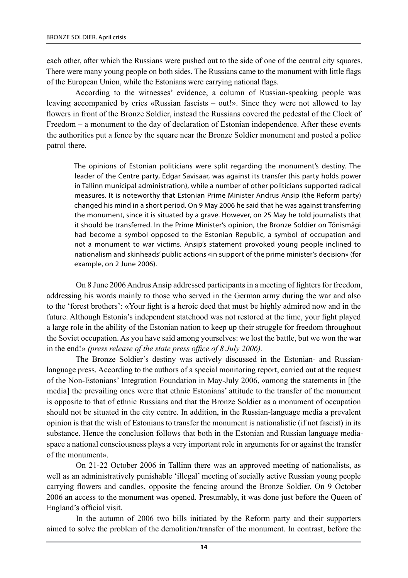each other, after which the Russians were pushed out to the side of one of the central city squares. There were many young people on both sides. The Russians came to the monument with little flags of the European Union, while the Estonians were carrying national flags.

According to the witnesses' evidence, a column of Russian-speaking people was leaving accompanied by cries «Russian fascists – out!». Since they were not allowed to lay flowers in front of the Bronze Soldier, instead the Russians covered the pedestal of the Clock of freedom – a monument to the day of declaration of Estonian independence. After these events the authorities put a fence by the square near the Bronze Soldier monument and posted a police patrol there.

The opinions of Estonian politicians were split regarding the monument's destiny. The leader of the Centre party, Edgar Savisaar, was against its transfer (his party holds power in Tallinn municipal administration), while a number of other politicians supported radical measures. It is noteworthy that Estonian Prime Minister Andrus Ansip (the Reform party) changed his mind in a short period. On 9 May 2006 he said that he was against transferring the monument, since it is situated by a grave. However, on 25 May he told journalists that it should be transferred. In the Prime Minister's opinion, the Bronze Soldier on Tõnismägi had become a symbol opposed to the Estonian Republic, a symbol of occupation and not a monument to war victims. Ansip's statement provoked young people inclined to nationalism and skinheads' public actions «in support of the prime minister's decision» (for example, on 2 June 2006).

On 8 June 2006 Andrus Ansip addressed participants in a meeting of fighters for freedom, addressing his words mainly to those who served in the German army during the war and also to the 'forest brothers': «Your fight is a heroic deed that must be highly admired now and in the future. Although Estonia's independent statehood was not restored at the time, your fight played a large role in the ability of the Estonian nation to keep up their struggle for freedom throughout the Soviet occupation. As you have said among yourselves: we lost the battle, but we won the war in the end!» *(press release of the state press office of 8 July 2006).*

The Bronze Soldier's destiny was actively discussed in the Estonian- and Russianlanguage press. According to the authors of a special monitoring report, carried out at the request of the Non-Estonians' Integration Foundation in May-July 2006, «among the statements in [the media] the prevailing ones were that ethnic Estonians' attitude to the transfer of the monument is opposite to that of ethnic Russians and that the Bronze Soldier as a monument of occupation should not be situated in the city centre. In addition, in the Russian-language media a prevalent opinion is that the wish of Estonians to transfer the monument is nationalistic (if not fascist) in its substance. Hence the conclusion follows that both in the Estonian and Russian language mediaspace a national consciousness plays a very important role in arguments for or against the transfer of the monument».

On 21-22 October 2006 in Tallinn there was an approved meeting of nationalists, as well as an administratively punishable 'illegal' meeting of socially active Russian young people carrying flowers and candles, opposite the fencing around the Bronze Soldier. On 9 October 2006 an access to the monument was opened. Presumably, it was done just before the Queen of England's official visit.

In the autumn of 2006 two bills initiated by the Reform party and their supporters aimed to solve the problem of the demolition/transfer of the monument. In contrast, before the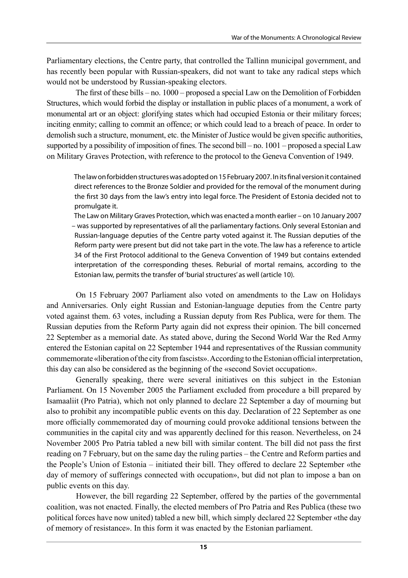Parliamentary elections, the Centre party, that controlled the Tallinn municipal government, and has recently been popular with Russian-speakers, did not want to take any radical steps which would not be understood by Russian-speaking electors.

The first of these bills – no. 1000 – proposed a special Law on the Demolition of Forbidden Structures, which would forbid the display or installation in public places of a monument, a work of monumental art or an object: glorifying states which had occupied Estonia or their military forces; inciting enmity; calling to commit an offence; or which could lead to a breach of peace. In order to demolish such a structure, monument, etc. the Minister of Justice would be given specific authorities, supported by a possibility of imposition of fines. The second bill – no. 1001 – proposed a special Law on Military Graves Protection, with reference to the protocol to the Geneva Convention of 1949.

The law on forbidden structures was adopted on 15 February 2007. In its final version it contained direct references to the Bronze Soldier and provided for the removal of the monument during the first 30 days from the law's entry into legal force. The President of Estonia decided not to promulgate it.

The Law on Military Graves Protection, which was enacted a month earlier – on 10 January 2007 – was supported by representatives of all the parliamentary factions. Only several Estonian and Russian-language deputies of the Centre party voted against it. The Russian deputies of the Reform party were present but did not take part in the vote. The law has a reference to article 34 of the First Protocol additional to the Geneva Convention of 1949 but contains extended interpretation of the corresponding theses. Reburial of mortal remains, according to the Estonian law, permits the transfer of 'burial structures' as well (article 10).

On 15 February 2007 Parliament also voted on amendments to the Law on Holidays and Anniversaries. Only eight Russian and Estonian-language deputies from the Centre party voted against them. 63 votes, including a Russian deputy from Res Publica, were for them. The Russian deputies from the Reform Party again did not express their opinion. The bill concerned 22 September as a memorial date. As stated above, during the Second World War the Red Army entered the Estonian capital on 22 September 1944 and representatives of the Russian community commemorate «liberation of the city from fascists». According to the Estonian official interpretation, this day can also be considered as the beginning of the «second Soviet occupation».

Generally speaking, there were several initiatives on this subject in the Estonian Parliament. On 15 November 2005 the Parliament excluded from procedure a bill prepared by Isamaaliit (Pro Patria), which not only planned to declare 22 September a day of mourning but also to prohibit any incompatible public events on this day. Declaration of 22 September as one more officially commemorated day of mourning could provoke additional tensions between the communities in the capital city and was apparently declined for this reason. Nevertheless, on 24 November 2005 Pro Patria tabled a new bill with similar content. The bill did not pass the first reading on 7 February, but on the same day the ruling parties – the Centre and Reform parties and the People's Union of Estonia – initiated their bill. They offered to declare 22 September «the day of memory of sufferings connected with occupation», but did not plan to impose a ban on public events on this day.

However, the bill regarding 22 September, offered by the parties of the governmental coalition, was not enacted. Finally, the elected members of Pro Patria and Res Publica (these two political forces have now united) tabled a new bill, which simply declared 22 September «the day of memory of resistance». In this form it was enacted by the Estonian parliament.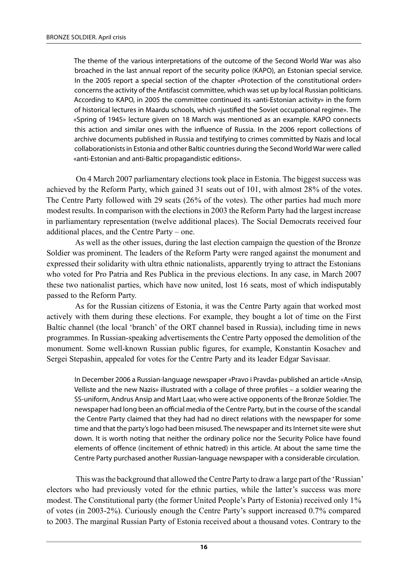The theme of the various interpretations of the outcome of the Second World War was also broached in the last annual report of the security police (KAPO), an Estonian special service. In the 2005 report a special section of the chapter «Protection of the constitutional order» concerns the activity of the Antifascist committee, which was set up by local Russian politicians. According to KAPO, in 2005 the committee continued its «anti-Estonian activity» in the form of historical lectures in Maardu schools, which «justified the Soviet occupational regime». The «Spring of 1945» lecture given on 18 March was mentioned as an example. KAPO connects this action and similar ones with the influence of Russia. In the 2006 report collections of archive documents published in Russia and testifying to crimes committed by Nazis and local collaborationists in Estonia and other Baltic countries during the Second World War were called «anti-Estonian and anti-Baltic propagandistic editions».

On 4 March 2007 parliamentary elections took place in Estonia. The biggest success was achieved by the Reform Party, which gained 31 seats out of 101, with almost 28% of the votes. The Centre Party followed with 29 seats (26% of the votes). The other parties had much more modest results. In comparison with the elections in 2003 the Reform Party had the largest increase in parliamentary representation (twelve additional places). The Social Democrats received four additional places, and the Centre Party – one.

As well as the other issues, during the last election campaign the question of the Bronze Soldier was prominent. The leaders of the Reform Party were ranged against the monument and expressed their solidarity with ultra ethnic nationalists, apparently trying to attract the Estonians who voted for Pro Patria and Res Publica in the previous elections. In any case, in March 2007 these two nationalist parties, which have now united, lost 16 seats, most of which indisputably passed to the Reform Party.

As for the Russian citizens of Estonia, it was the Centre Party again that worked most actively with them during these elections. For example, they bought a lot of time on the First Baltic channel (the local 'branch' of the ORT channel based in Russia), including time in news programmes. In Russian-speaking advertisements the Centre Party opposed the demolition of the monument. Some well-known Russian public figures, for example, Konstantin Kosachev and Sergei Stepashin, appealed for votes for the Centre Party and its leader Edgar Savisaar.

In December 2006 a Russian-language newspaper «Pravo i Pravda» published an article «Ansip, Velliste and the new Nazis» illustrated with a collage of three profiles – a soldier wearing the SS-uniform, Andrus Ansip and Mart Laar, who were active opponents of the Bronze Soldier. The newspaper had long been an official media of the Centre Party, but in the course of the scandal the Centre Party claimed that they had had no direct relations with the newspaper for some time and that the party's logo had been misused. The newspaper and its Internet site were shut down. It is worth noting that neither the ordinary police nor the Security Police have found elements of offence (incitement of ethnic hatred) in this article. At about the same time the Centre Party purchased another Russian-language newspaper with a considerable circulation.

This was the background that allowed the Centre Party to draw a large part of the 'Russian' electors who had previously voted for the ethnic parties, while the latter's success was more modest. The Constitutional party (the former United People's Party of Estonia) received only 1% of votes (in 2003-2%). Curiously enough the Centre Party's support increased 0.7% compared to 2003. The marginal Russian Party of Estonia received about a thousand votes. Contrary to the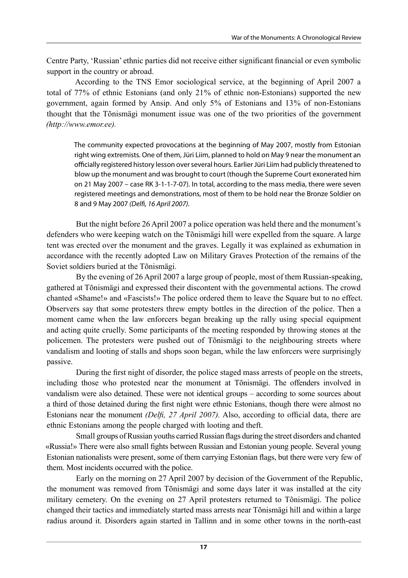Centre Party, 'Russian' ethnic parties did not receive either significant financial or even symbolic support in the country or abroad.

According to the TNS Emor sociological service, at the beginning of April 2007 a total of 77% of ethnic Estonians (and only 21% of ethnic non-Estonians) supported the new government, again formed by Ansip. And only 5% of Estonians and 13% of non-Estonians thought that the Tõnismägi monument issue was one of the two priorities of the government *(http://www.emor.ee).*

The community expected provocations at the beginning of May 2007, mostly from Estonian right wing extremists. One of them, Jüri Liim, planned to hold on May 9 near the monument an officially registered history lesson over several hours. Earlier Jüri Liim had publicly threatened to blow up the monument and was brought to court (though the Supreme Court exonerated him on 21 May 2007 – case RK 3-1-1-7-07). In total, according to the mass media, there were seven registered meetings and demonstrations, most of them to be hold near the Bronze Soldier on 8 and 9 May 2007 *(Delfi, 16 April 2007).*

But the night before 26 April 2007 a police operation was held there and the monument's defenders who were keeping watch on the Tõnismägi hill were expelled from the square. A large tent was erected over the monument and the graves. Legally it was explained as exhumation in accordance with the recently adopted Law on Military Graves Protection of the remains of the Soviet soldiers buried at the Tõnismägi.

By the evening of 26 April 2007 a large group of people, most of them Russian-speaking, gathered at Tõnismägi and expressed their discontent with the governmental actions. The crowd chanted «Shame!» and «Fascists!» The police ordered them to leave the Square but to no effect. Observers say that some protesters threw empty bottles in the direction of the police. Then a moment came when the law enforcers began breaking up the rally using special equipment and acting quite cruelly. Some participants of the meeting responded by throwing stones at the policemen. The protesters were pushed out of Tõnismägi to the neighbouring streets where vandalism and looting of stalls and shops soon began, while the law enforcers were surprisingly passive.

During the first night of disorder, the police staged mass arrests of people on the streets, including those who protested near the monument at Tõnismägi. The offenders involved in vandalism were also detained. These were not identical groups – according to some sources about a third of those detained during the first night were ethnic Estonians, though there were almost no Estonians near the monument *(Delfi, 27 April 2007).* Also, according to official data, there are ethnic Estonians among the people charged with looting and theft.

Small groups of Russian youths carried Russian flags during the street disorders and chanted «Russia!» There were also small fights between Russian and Estonian young people. Several young Estonian nationalists were present, some of them carrying Estonian flags, but there were very few of them. Most incidents occurred with the police.

Early on the morning on 27 April 2007 by decision of the Government of the Republic, the monument was removed from Tõnismägi and some days later it was installed at the city military cemetery. On the evening on 27 April protesters returned to Tõnismägi. The police changed their tactics and immediately started mass arrests near Tõnismägi hill and within a large radius around it. Disorders again started in Tallinn and in some other towns in the north-east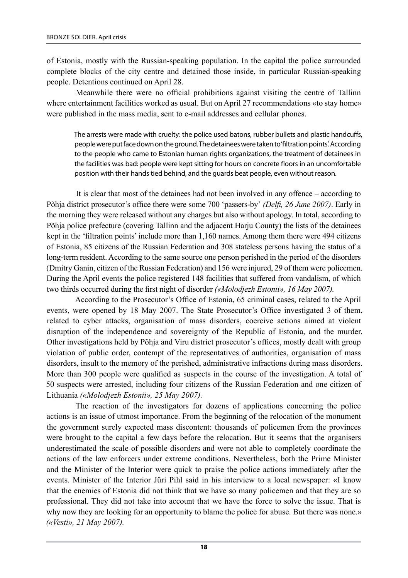of Estonia, mostly with the Russian-speaking population. In the capital the police surrounded complete blocks of the city centre and detained those inside, in particular Russian-speaking people. Detentions continued on April 28.

Meanwhile there were no official prohibitions against visiting the centre of Tallinn where entertainment facilities worked as usual. But on April 27 recommendations «to stay home» were published in the mass media, sent to e-mail addresses and cellular phones.

The arrests were made with cruelty: the police used batons, rubber bullets and plastic handcuffs, people were put face down on the ground. The detainees were taken to 'filtration points'. According to the people who came to Estonian human rights organizations, the treatment of detainees in the facilities was bad: people were kept sitting for hours on concrete floors in an uncomfortable position with their hands tied behind, and the guards beat people, even without reason.

It is clear that most of the detainees had not been involved in any offence – according to Põhja district prosecutor's office there were some 700 'passers-by' *(Delfi, 26 June 2007)*. Early in the morning they were released without any charges but also without apology. In total, according to Põhja police prefecture (covering Tallinn and the adjacent Harju County) the lists of the detainees kept in the 'filtration points' include more than 1,160 names. Among them there were 494 citizens of Estonia, 85 citizens of the Russian Federation and 308 stateless persons having the status of a long-term resident. According to the same source one person perished in the period of the disorders (Dmitry Ganin, citizen of the Russian Federation) and 156 were injured, 29 of them were policemen. During the April events the police registered 148 facilities that suffered from vandalism, of which two thirds occurred during the first night of disorder *(«Molodjezh Estonii», 16 May 2007).*

According to the Prosecutor's Office of Estonia, 65 criminal cases, related to the April events, were opened by 18 May 2007. The State Prosecutor's Office investigated 3 of them, related to cyber attacks, organisation of mass disorders, coercive actions aimed at violent disruption of the independence and sovereignty of the Republic of Estonia, and the murder. Other investigations held by Põhja and Viru district prosecutor's offices, mostly dealt with group violation of public order, contempt of the representatives of authorities, organisation of mass disorders, insult to the memory of the perished, administrative infractions during mass disorders. More than 300 people were qualified as suspects in the course of the investigation. A total of 50 suspects were arrested, including four citizens of the Russian Federation and one citizen of Lithuania *(«Molodjezh Estonii», 25 May 2007).*

The reaction of the investigators for dozens of applications concerning the police actions is an issue of utmost importance. From the beginning of the relocation of the monument the government surely expected mass discontent: thousands of policemen from the provinces were brought to the capital a few days before the relocation. But it seems that the organisers underestimated the scale of possible disorders and were not able to completely coordinate the actions of the law enforcers under extreme conditions. Nevertheless, both the Prime Minister and the Minister of the Interior were quick to praise the police actions immediately after the events. Minister of the Interior Jüri Pihl said in his interview to a local newspaper: «I know that the enemies of Estonia did not think that we have so many policemen and that they are so professional. They did not take into account that we have the force to solve the issue. That is why now they are looking for an opportunity to blame the police for abuse. But there was none.» *(«Vesti», 21 May 2007).*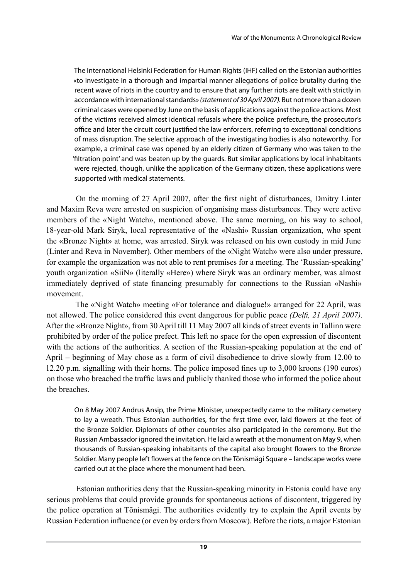The International Helsinki Federation for Human Rights (IHF) called on the Estonian authorities «to investigate in a thorough and impartial manner allegations of police brutality during the recent wave of riots in the country and to ensure that any further riots are dealt with strictly in accordance with international standards» *(statement of 30 April 2007).* But not more than a dozen criminal cases were opened by June on the basis of applications against the police actions. Most of the victims received almost identical refusals where the police prefecture, the prosecutor's office and later the circuit court justified the law enforcers, referring to exceptional conditions of mass disruption. The selective approach of the investigating bodies is also noteworthy. For example, a criminal case was opened by an elderly citizen of Germany who was taken to the 'filtration point' and was beaten up by the guards. But similar applications by local inhabitants were rejected, though, unlike the application of the Germany citizen, these applications were supported with medical statements.

On the morning of 27 April 2007, after the first night of disturbances, Dmitry Linter and Maxim Reva were arrested on suspicion of organising mass disturbances. They were active members of the «Night Watch», mentioned above. The same morning, on his way to school, 18-year-old Mark Siryk, local representative of the «Nashi» Russian organization, who spent the «Bronze Night» at home, was arrested. Siryk was released on his own custody in mid June (Linter and Reva in November). Other members of the «Night Watch» were also under pressure, for example the organization was not able to rent premises for a meeting. The 'Russian-speaking' youth organization «SiiN» (literally «Here») where Siryk was an ordinary member, was almost immediately deprived of state financing presumably for connections to the Russian «Nashi» movement.

The «Night Watch» meeting «For tolerance and dialogue!» arranged for 22 April, was not allowed. The police considered this event dangerous for public peace *(Delfi, 21 April 2007).*  After the «Bronze Night», from 30 April till 11 May 2007 all kinds of street events in Tallinn were prohibited by order of the police prefect. This left no space for the open expression of discontent with the actions of the authorities. A section of the Russian-speaking population at the end of April – beginning of May chose as a form of civil disobedience to drive slowly from 12.00 to 12.20 p.m. signalling with their horns. The police imposed fines up to 3,000 kroons (190 euros) on those who breached the traffic laws and publicly thanked those who informed the police about the breaches.

On 8 May 2007 Andrus Ansip, the Prime Minister, unexpectedly came to the military cemetery to lay a wreath. Thus Estonian authorities, for the first time ever, laid flowers at the feet of the Bronze Soldier. Diplomats of other countries also participated in the ceremony. But the Russian Ambassador ignored the invitation. He laid a wreath at the monument on May 9, when thousands of Russian-speaking inhabitants of the capital also brought flowers to the Bronze Soldier. Many people left flowers at the fence on the Tõnismägi Square – landscape works were carried out at the place where the monument had been.

Estonian authorities deny that the Russian-speaking minority in Estonia could have any serious problems that could provide grounds for spontaneous actions of discontent, triggered by the police operation at Tõnismägi. The authorities evidently try to explain the April events by Russian Federation influence (or even by orders from Moscow). Before the riots, a major Estonian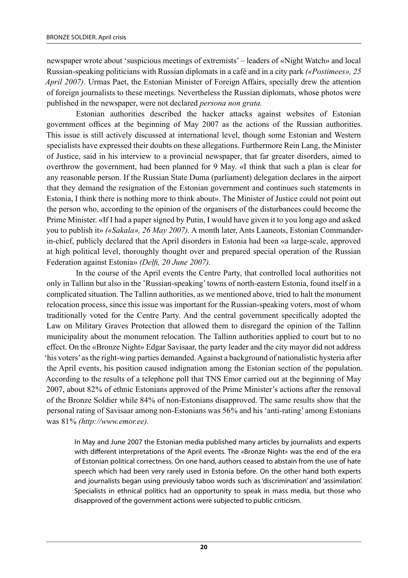newspaper wrote about 'suspicious meetings of extremists' – leaders of «Night Watch» and local Russian-speaking politicians with Russian diplomats in a café and in a city park *(«Postimees», 25 April 2007)*. Urmas Paet, the Estonian Minister of Foreign Affairs, specially drew the attention of foreign journalists to these meetings. Nevertheless the Russian diplomats, whose photos were published in the newspaper, were not declared *persona non grata.*

Estonian authorities described the hacker attacks against websites of Estonian government offices at the beginning of May 2007 as the actions of the Russian authorities. This issue is still actively discussed at international level, though some Estonian and Western specialists have expressed their doubts on these allegations. Furthermore Rein Lang, the Minister of Justice, said in his interview to a provincial newspaper, that far greater disorders, aimed to overthrow the government, had been planned for 9 May. «I think that such a plan is clear for any reasonable person. If the Russian State Duma (parliament) delegation declares in the airport that they demand the resignation of the Estonian government and continues such statements in Estonia, I think there is nothing more to think about». The Minister of Justice could not point out the person who, according to the opinion of the organisers of the disturbances could become the Prime Minister. «If I had a paper signed by Putin, I would have given it to you long ago and asked you to publish it» *(«Sakala», 26 May 2007).* A month later, Ants Laaneots, Estonian commanderin-chief, publicly declared that the April disorders in Estonia had been «a large-scale, approved at high political level, thoroughly thought over and prepared special operation of the Russian Federation against Estonia» *(Delfi, 20 June 2007).*

In the course of the April events the Centre Party, that controlled local authorities not only in Tallinn but also in the 'Russian-speaking' towns of north-eastern Estonia, found itself in a complicated situation. The Tallinn authorities, as we mentioned above, tried to halt the monument relocation process, since this issue was important for the Russian-speaking voters, most of whom traditionally voted for the Centre Party. And the central government specifically adopted the Law on Military Graves Protection that allowed them to disregard the opinion of the Tallinn municipality about the monument relocation. The Tallinn authorities applied to court but to no effect. On the «Bronze Night» Edgar Savisaar, the party leader and the city mayor did not address 'his voters' as the right-wing parties demanded. Against a background of nationalistic hysteria after the April events, his position caused indignation among the Estonian section of the population. According to the results of a telephone poll that TNS Emor carried out at the beginning of May 2007, about 82% of ethnic Estonians approved of the Prime Minister's actions after the removal of the Bronze Soldier while 84% of non-Estonians disapproved. The same results show that the personal rating of Savisaar among non-Estonians was 56% and his 'anti-rating' among Estonians was 81% *(http://www.emor.ee).*

In May and June 2007 the Estonian media published many articles by journalists and experts with different interpretations of the April events. The «Bronze Night» was the end of the era of Estonian political correctness. On one hand, authors ceased to abstain from the use of hate speech which had been very rarely used in Estonia before. On the other hand both experts and journalists began using previously taboo words such as 'discrimination' and 'assimilation'. Specialists in ethnical politics had an opportunity to speak in mass media, but those who disapproved of the government actions were subjected to public criticism.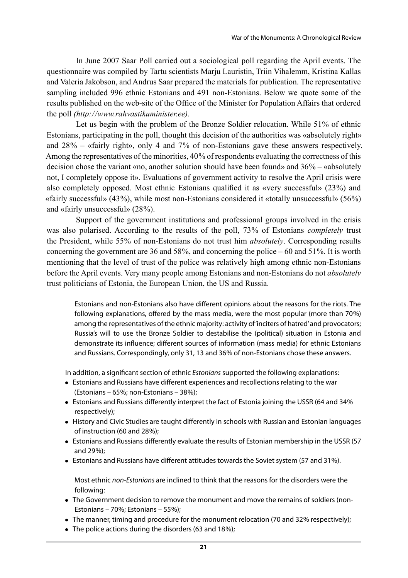In June 2007 Saar Poll carried out a sociological poll regarding the April events. The questionnaire was compiled by Tartu scientists Marju Lauristin, Triin Vihalemm, Kristina Kallas and Valeria Jakobson, and Andrus Saar prepared the materials for publication. The representative sampling included 996 ethnic Estonians and 491 non-Estonians. Below we quote some of the results published on the web-site of the Office of the Minister for Population Affairs that ordered the poll *(http:/  /www.rahvastikuminister.ee).*

Let us begin with the problem of the Bronze Soldier relocation. While 51% of ethnic Estonians, participating in the poll, thought this decision of the authorities was «absolutely right» and 28% – «fairly right», only 4 and 7% of non-Estonians gave these answers respectively. Among the representatives of the minorities, 40% of respondents evaluating the correctness of this decision chose the variant «no, another solution should have been found» and 36% – «absolutely not, I completely oppose it». Evaluations of government activity to resolve the April crisis were also completely opposed. Most ethnic Estonians qualified it as «very successful» (23%) and «fairly successful» (43%), while most non-Estonians considered it «totally unsuccessful» (56%) and «fairly unsuccessful» (28%).

Support of the government institutions and professional groups involved in the crisis was also polarised. According to the results of the poll, 73% of Estonians *completely* trust the President, while 55% of non-Estonians do not trust him *absolutely*. Corresponding results concerning the government are 36 and 58%, and concerning the police – 60 and 51%. It is worth mentioning that the level of trust of the police was relatively high among ethnic non-Estonians before the April events. Very many people among Estonians and non-Estonians do not *absolutely* trust politicians of Estonia, the European Union, the US and Russia.

Estonians and non-Estonians also have different opinions about the reasons for the riots. The following explanations, offered by the mass media, were the most popular (more than 70%) among the representatives of the ethnic majority: activity of 'inciters of hatred' and provocators; Russia's will to use the Bronze Soldier to destabilise the (political) situation in Estonia and demonstrate its influence; different sources of information (mass media) for ethnic Estonians and Russians. Correspondingly, only 31, 13 and 36% of non-Estonians chose these answers.

In addition, a significant section of ethnic *Estonians* supported the following explanations:

- **Estonians and Russians have different experiences and recollections relating to the war** (Estonians – 65%; non-Estonians – 38%);
- <sup>l</sup> Estonians and Russians differently interpret the fact of Estonia joining the USSR (64 and 34% respectively);
- History and Civic Studies are taught differently in schools with Russian and Estonian languages of instruction (60 and 28%);
- Estonians and Russians differently evaluate the results of Estonian membership in the USSR (57) and 29%);
- Estonians and Russians have different attitudes towards the Soviet system (57 and 31%).

Most ethnic *non-Estonians* are inclined to think that the reasons for the disorders were the following:

- The Government decision to remove the monument and move the remains of soldiers (non-Estonians – 70%; Estonians – 55%);
- The manner, timing and procedure for the monument relocation (70 and 32% respectively);
- $\bullet$  The police actions during the disorders (63 and 18%);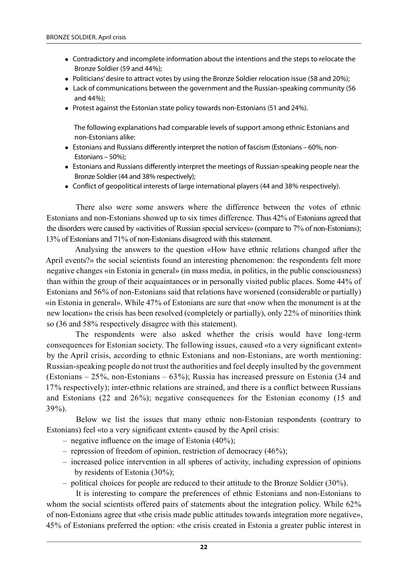- Contradictory and incomplete information about the intentions and the steps to relocate the Bronze Soldier (59 and 44%);
- Politicians' desire to attract votes by using the Bronze Soldier relocation issue (58 and 20%);
- Lack of communications between the government and the Russian-speaking community (56 and 44%);
- Protest against the Estonian state policy towards non-Estonians (51 and 24%).

The following explanations had comparable levels of support among ethnic Estonians and non-Estonians alike:

- $\bullet$  Estonians and Russians differently interpret the notion of fascism (Estonians 60%, non-Estonians – 50%);
- <sup>l</sup> Estonians and Russians differently interpret the meetings of Russian-speaking people near the Bronze Soldier (44 and 38% respectively);
- Conflict of geopolitical interests of large international players (44 and 38% respectively).

There also were some answers where the difference between the votes of ethnic Estonians and non-Estonians showed up to six times difference. Thus 42% of Estonians agreed that the disorders were caused by «activities of Russian special services» (compare to 7% of non-Estonians); 13% of Estonians and 71% of non-Estonians disagreed with this statement.

Analysing the answers to the question «How have ethnic relations changed after the April events?» the social scientists found an interesting phenomenon: the respondents felt more negative changes «in Estonia in general» (in mass media, in politics, in the public consciousness) than within the group of their acquaintances or in personally visited public places. Some 44% of Estonians and 56% of non-Estonians said that relations have worsened (considerable or partially) «in Estonia in general». While 47% of Estonians are sure that «now when the monument is at the new location» the crisis has been resolved (completely or partially), only 22% of minorities think so (36 and 58% respectively disagree with this statement).

The respondents were also asked whether the crisis would have long-term consequences for Estonian society. The following issues, caused «to a very significant extent» by the April crisis, according to ethnic Estonians and non-Estonians, are worth mentioning: Russian-speaking people do not trust the authorities and feel deeply insulted by the government (Estonians – 25%, non-Estonians – 63%); Russia has increased pressure on Estonia (34 and 17% respectively); inter-ethnic relations are strained, and there is a conflict between Russians and Estonians (22 and 26%); negative consequences for the Estonian economy (15 and 39%).

Below we list the issues that many ethnic non-Estonian respondents (contrary to Estonians) feel «to a very significant extent» caused by the April crisis:

- negative influence on the image of Estonia (40%);
- repression of freedom of opinion, restriction of democracy (46%);
- increased police intervention in all spheres of activity, including expression of opinions by residents of Estonia (30%);
- political choices for people are reduced to their attitude to the Bronze Soldier (30%).

It is interesting to compare the preferences of ethnic Estonians and non-Estonians to whom the social scientists offered pairs of statements about the integration policy. While 62% of non-Estonians agree that «the crisis made public attitudes towards integration more negative», 45% of Estonians preferred the option: «the crisis created in Estonia a greater public interest in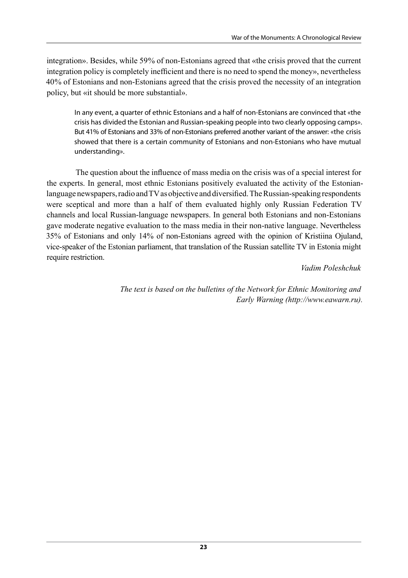integration». Besides, while 59% of non-Estonians agreed that «the crisis proved that the current integration policy is completely inefficient and there is no need to spend the money», nevertheless 40% of Estonians and non-Estonians agreed that the crisis proved the necessity of an integration policy, but «it should be more substantial».

In any event, a quarter of ethnic Estonians and a half of non-Estonians are convinced that «the crisis has divided the Estonian and Russian-speaking people into two clearly opposing camps». But 41% of Estonians and 33% of non-Estonians preferred another variant of the answer: «the crisis showed that there is a certain community of Estonians and non-Estonians who have mutual understanding».

The question about the influence of mass media on the crisis was of a special interest for the experts. In general, most ethnic Estonians positively evaluated the activity of the Estonianlanguage newspapers, radio and TV as objective and diversified. The Russian-speaking respondents were sceptical and more than a half of them evaluated highly only Russian Federation TV channels and local Russian-language newspapers. In general both Estonians and non-Estonians gave moderate negative evaluation to the mass media in their non-native language. Nevertheless 35% of Estonians and only 14% of non-Estonians agreed with the opinion of Kristiina Ojuland, vice-speaker of the Estonian parliament, that translation of the Russian satellite TV in Estonia might require restriction.

#### *Vadim Poleshchuk*

*The text is based on the bulletins of the Network for Ethnic Monitoring and Early Warning (http://www.eawarn.ru).*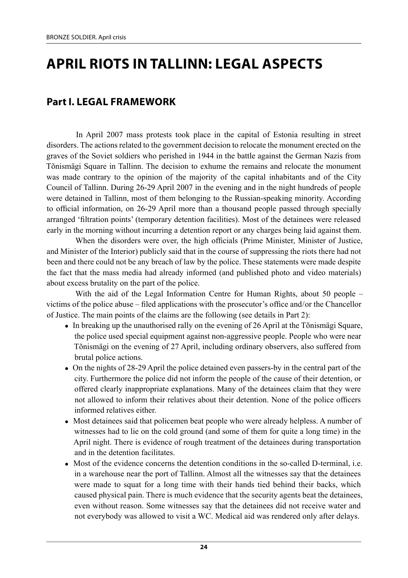# **April Riots in Tallinn: Legal Aspects**

### **Part I. Legal framework**

In April 2007 mass protests took place in the capital of Estonia resulting in street disorders. The actions related to the government decision to relocate the monument erected on the graves of the Soviet soldiers who perished in 1944 in the battle against the German Nazis from Tõnismägi Square in Tallinn. The decision to exhume the remains and relocate the monument was made contrary to the opinion of the majority of the capital inhabitants and of the City Council of Tallinn. During 26-29 April 2007 in the evening and in the night hundreds of people were detained in Tallinn, most of them belonging to the Russian-speaking minority. According to official information, on 26‑29 April more than a thousand people passed through specially arranged 'filtration points' (temporary detention facilities). Most of the detainees were released early in the morning without incurring a detention report or any charges being laid against them.

When the disorders were over, the high officials (Prime Minister, Minister of Justice, and Minister of the Interior) publicly said that in the course of suppressing the riots there had not been and there could not be any breach of law by the police. These statements were made despite the fact that the mass media had already informed (and published photo and video materials) about excess brutality on the part of the police.

With the aid of the Legal Information Centre for Human Rights, about 50 people – victims of the police abuse – filed applications with the prosecutor's office and/or the Chancellor of Justice. The main points of the claims are the following (see details in Part 2):

- In breaking up the unauthorised rally on the evening of 26 April at the Tõnismägi Square, the police used special equipment against non-aggressive people. People who were near Tõnismägi on the evening of 27 April, including ordinary observers, also suffered from brutal police actions.
- On the nights of 28-29 April the police detained even passers-by in the central part of the city. Furthermore the police did not inform the people of the cause of their detention, or offered clearly inappropriate explanations. Many of the detainees claim that they were not allowed to inform their relatives about their detention. None of the police officers informed relatives either.
- Most detainees said that policemen beat people who were already helpless. A number of witnesses had to lie on the cold ground (and some of them for quite a long time) in the April night. There is evidence of rough treatment of the detainees during transportation and in the detention facilitates.
- In Most of the evidence concerns the detention conditions in the so-called D-terminal, i.e. in a warehouse near the port of Tallinn. Almost all the witnesses say that the detainees were made to squat for a long time with their hands tied behind their backs, which caused physical pain. There is much evidence that the security agents beat the detainees, even without reason. Some witnesses say that the detainees did not receive water and not everybody was allowed to visit a WC. Medical aid was rendered only after delays.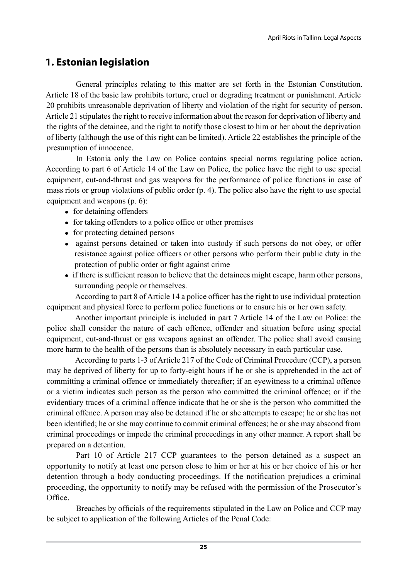# **1. Estonian legislation**

General principles relating to this matter are set forth in the Estonian Constitution. Article 18 of the basic law prohibits torture, cruel or degrading treatment or punishment. Article 20 prohibits unreasonable deprivation of liberty and violation of the right for security of person. Article 21 stipulates the right to receive information about the reason for deprivation of liberty and the rights of the detainee, and the right to notify those closest to him or her about the deprivation of liberty (although the use of this right can be limited). Article 22 establishes the principle of the presumption of innocence.

In Estonia only the Law on Police contains special norms regulating police action. According to part 6 of Article 14 of the Law on Police, the police have the right to use special equipment, cut-and-thrust and gas weapons for the performance of police functions in case of mass riots or group violations of public order (p. 4). The police also have the right to use special equipment and weapons (p. 6):

- $\bullet$  for detaining offenders
- for taking offenders to a police office or other premises
- $\bullet$  for protecting detained persons
- against persons detained or taken into custody if such persons do not obey, or offer resistance against police officers or other persons who perform their public duty in the protection of public order or fight against crime
- If there is sufficient reason to believe that the detainees might escape, harm other persons, surrounding people or themselves.

According to part 8 of Article 14 a police officer has the right to use individual protection equipment and physical force to perform police functions or to ensure his or her own safety.

Another important principle is included in part 7 Article 14 of the Law on Police: the police shall consider the nature of each offence, offender and situation before using special equipment, cut-and-thrust or gas weapons against an offender. The police shall avoid causing more harm to the health of the persons than is absolutely necessary in each particular case.

According to parts 1-3 of Article 217 of the Code of Criminal Procedure (CCP), a person may be deprived of liberty for up to forty-eight hours if he or she is apprehended in the act of committing a criminal offence or immediately thereafter; if an eyewitness to a criminal offence or a victim indicates such person as the person who committed the criminal offence; or if the evidentiary traces of a criminal offence indicate that he or she is the person who committed the criminal offence. A person may also be detained if he or she attempts to escape; he or she has not been identified; he or she may continue to commit criminal offences; he or she may abscond from criminal proceedings or impede the criminal proceedings in any other manner. A report shall be prepared on a detention.

Part 10 of Article 217 CCP guarantees to the person detained as a suspect an opportunity to notify at least one person close to him or her at his or her choice of his or her detention through a body conducting proceedings. If the notification prejudices a criminal proceeding, the opportunity to notify may be refused with the permission of the Prosecutor's Office.

Breaches by officials of the requirements stipulated in the Law on Police and CCP may be subject to application of the following Articles of the Penal Code: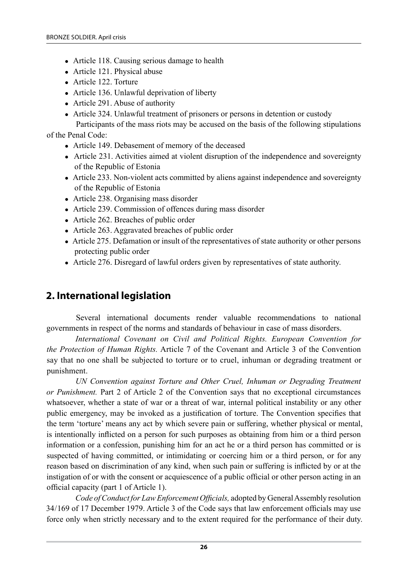- Article 118. Causing serious damage to health
- $\bullet$  Article 121. Physical abuse
- Article 122. Torture
- $\bullet$  Article 136. Unlawful deprivation of liberty
- $\bullet$  Article 291. Abuse of authority
- Article 324. Unlawful treatment of prisoners or persons in detention or custody

```
Participants of the mass riots may be accused on the basis of the following stipulations
```
of the Penal Code:

- Article 149. Debasement of memory of the deceased
- Article 231. Activities aimed at violent disruption of the independence and sovereignty of the Republic of Estonia
- Article 233. Non-violent acts committed by aliens against independence and sovereignty of the Republic of Estonia
- Article 238. Organising mass disorder
- Article 239. Commission of offences during mass disorder
- Article 262. Breaches of public order
- $\bullet$  Article 263. Aggravated breaches of public order
- Article 275. Defamation or insult of the representatives of state authority or other persons protecting public order
- Article 276. Disregard of lawful orders given by representatives of state authority.

# **2. International legislation**

Several international documents render valuable recommendations to national governments in respect of the norms and standards of behaviour in case of mass disorders.

*International Covenant on Civil and Political Rights. European Convention for the Protection of Human Rights.* Article 7 of the Covenant and Article 3 of the Convention say that no one shall be subjected to torture or to cruel, inhuman or degrading treatment or punishment.

UN Convention against Torture and Other Cruel, Inhuman or Degrading Treatment *or Punishment.* Part 2 of Article 2 of the Convention says that no exceptional circumstances whatsoever, whether a state of war or a threat of war, internal political instability or any other public emergency, may be invoked as a justification of torture. The Convention specifies that the term 'torture' means any act by which severe pain or suffering, whether physical or mental, is intentionally inflicted on a person for such purposes as obtaining from him or a third person information or a confession, punishing him for an act he or a third person has committed or is suspected of having committed, or intimidating or coercing him or a third person, or for any reason based on discrimination of any kind, when such pain or suffering is inflicted by or at the instigation of or with the consent or acquiescence of a public official or other person acting in an official capacity (part 1 of Article 1).

*Code of Conduct for Law Enforcement Officials,* adopted by General Assembly resolution 34/169 of 17 December 1979. Article 3 of the Code says that law enforcement officials may use force only when strictly necessary and to the extent required for the performance of their duty.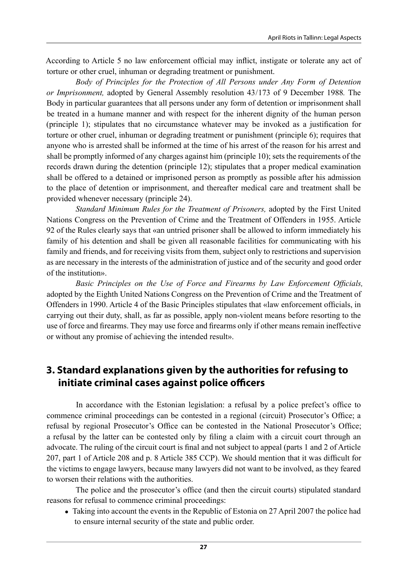According to Article 5 no law enforcement official may inflict, instigate or tolerate any act of torture or other cruel, inhuman or degrading treatment or punishment.

*Body of Principles for the Protection of All Persons under Any Form of Detention or Imprisonment,* adopted by General Assembly resolution 43/173 of 9 December 1988*.* The Body in particular guarantees that all persons under any form of detention or imprisonment shall be treated in a humane manner and with respect for the inherent dignity of the human person (principle 1); stipulates that no circumstance whatever may be invoked as a justification for torture or other cruel, inhuman or degrading treatment or punishment (principle 6); requires that anyone who is arrested shall be informed at the time of his arrest of the reason for his arrest and shall be promptly informed of any charges against him (principle 10); sets the requirements of the records drawn during the detention (principle 12); stipulates that a proper medical examination shall be offered to a detained or imprisoned person as promptly as possible after his admission to the place of detention or imprisonment, and thereafter medical care and treatment shall be provided whenever necessary (principle 24).

*Standard Minimum Rules for the Treatment of Prisoners,* adopted by the First United Nations Congress on the Prevention of Crime and the Treatment of Offenders in 1955. Article 92 of the Rules clearly says that «an untried prisoner shall be allowed to inform immediately his family of his detention and shall be given all reasonable facilities for communicating with his family and friends, and for receiving visits from them, subject only to restrictions and supervision as are necessary in the interests of the administration of justice and of the security and good order of the institution».

*Basic Principles on the Use of Force and Firearms by Law Enforcement Officials,*  adopted by the Eighth United Nations Congress on the Prevention of Crime and the Treatment of Offenders in 1990. Article 4 of the Basic Principles stipulates that «law enforcement officials, in carrying out their duty, shall, as far as possible, apply non-violent means before resorting to the use of force and firearms. They may use force and firearms only if other means remain ineffective or without any promise of achieving the intended result».

# **3. Standard explanations given by the authorities for refusing to initiate criminal cases against police officers**

In accordance with the Estonian legislation: a refusal by a police prefect's office to commence criminal proceedings can be contested in a regional (circuit) Prosecutor's Office; a refusal by regional Prosecutor's Office can be contested in the National Prosecutor's Office; a refusal by the latter can be contested only by filing a claim with a circuit court through an advocate. The ruling of the circuit court is final and not subject to appeal (parts 1 and 2 of Article 207, part 1 of Article 208 and p. 8 Article 385 CCP). We should mention that it was difficult for the victims to engage lawyers, because many lawyers did not want to be involved, as they feared to worsen their relations with the authorities.

The police and the prosecutor's office (and then the circuit courts) stipulated standard reasons for refusal to commence criminal proceedings:

• Taking into account the events in the Republic of Estonia on 27 April 2007 the police had to ensure internal security of the state and public order.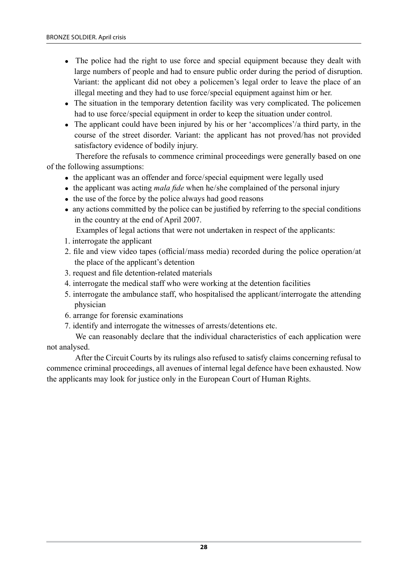- The police had the right to use force and special equipment because they dealt with large numbers of people and had to ensure public order during the period of disruption. Variant: the applicant did not obey a policemen's legal order to leave the place of an illegal meeting and they had to use force/special equipment against him or her.
- The situation in the temporary detention facility was very complicated. The policemen had to use force/special equipment in order to keep the situation under control.
- The applicant could have been injured by his or her 'accomplices'/a third party, in the course of the street disorder. Variant: the applicant has not proved/has not provided satisfactory evidence of bodily injury.

Therefore the refusals to commence criminal proceedings were generally based on one of the following assumptions:

- $\bullet$  the applicant was an offender and force/special equipment were legally used
- the applicant was acting *mala fide* when he/she complained of the personal injury
- $\bullet$  the use of the force by the police always had good reasons
- any actions committed by the police can be justified by referring to the special conditions in the country at the end of April 2007.

Examples of legal actions that were not undertaken in respect of the applicants:

- 1. interrogate the applicant
- 2. file and view video tapes (official/mass media) recorded during the police operation/at the place of the applicant's detention
- 3. request and file detention-related materials
- 4. interrogate the medical staff who were working at the detention facilities
- 5. interrogate the ambulance staff, who hospitalised the applicant/interrogate the attending physician
- 6. arrange for forensic examinations
- 7. identify and interrogate the witnesses of arrests/detentions etc.

We can reasonably declare that the individual characteristics of each application were not analysed.

After the Circuit Courts by its rulings also refused to satisfy claims concerning refusal to commence criminal proceedings, all avenues of internal legal defence have been exhausted. Now the applicants may look for justice only in the European Court of Human Rights.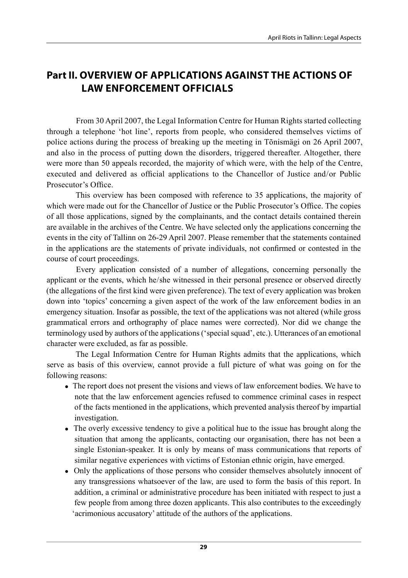# **Part II. Overview of applications against the actions of law enforcement officials**

From 30 April 2007, the Legal Information Centre for Human Rights started collecting through a telephone 'hot line', reports from people, who considered themselves victims of police actions during the process of breaking up the meeting in Tõnismägi on 26 April 2007, and also in the process of putting down the disorders, triggered thereafter. Altogether, there were more than 50 appeals recorded, the majority of which were, with the help of the Centre, executed and delivered as official applications to the Chancellor of Justice and/or Public Prosecutor's Office.

This overview has been composed with reference to 35 applications, the majority of which were made out for the Chancellor of Justice or the Public Prosecutor's Office. The copies of all those applications, signed by the complainants, and the contact details contained therein are available in the archives of the Centre. We have selected only the applications concerning the events in the city of Tallinn on 26-29 April 2007. Please remember that the statements contained in the applications are the statements of private individuals, not confirmed or contested in the course of court proceedings.

Every application consisted of a number of allegations, concerning personally the applicant or the events, which he/she witnessed in their personal presence or observed directly (the allegations of the first kind were given preference). The text of every application was broken down into 'topics' concerning a given aspect of the work of the law enforcement bodies in an emergency situation. Insofar as possible, the text of the applications was not altered (while gross grammatical errors and orthography of place names were corrected). Nor did we change the terminology used by authors of the applications ('special squad', etc.). Utterances of an emotional character were excluded, as far as possible.

The Legal Information Centre for Human Rights admits that the applications, which serve as basis of this overview, cannot provide a full picture of what was going on for the following reasons:

- If The report does not present the visions and views of law enforcement bodies. We have to note that the law enforcement agencies refused to commence criminal cases in respect of the facts mentioned in the applications, which prevented analysis thereof by impartial investigation.
- The overly excessive tendency to give a political hue to the issue has brought along the situation that among the applicants, contacting our organisation, there has not been a single Estonian-speaker. It is only by means of mass communications that reports of similar negative experiences with victims of Estonian ethnic origin, have emerged.
- Only the applications of those persons who consider themselves absolutely innocent of any transgressions whatsoever of the law, are used to form the basis of this report. In addition, a criminal or administrative procedure has been initiated with respect to just a few people from among three dozen applicants. This also contributes to the exceedingly 'acrimonious accusatory' attitude of the authors of the applications.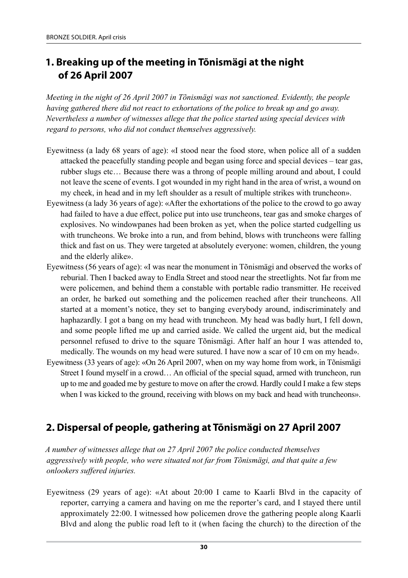# **1. Breaking up of the meeting in Tõnismägi at the night of 26 April 2007**

*Meeting in the night of 26 April 2007 in Tõnismägi was not sanctioned. Evidently, the people having gathered there did not react to exhortations of the police to break up and go away. Nevertheless a number of witnesses allege that the police started using special devices with regard to persons, who did not conduct themselves aggressively.*

- Eyewitness (a lady 68 years of age): «I stood near the food store, when police all of a sudden attacked the peacefully standing people and began using force and special devices – tear gas, rubber slugs etc… Because there was a throng of people milling around and about, I could not leave the scene of events. I got wounded in my right hand in the area of wrist, a wound on my cheek, in head and in my left shoulder as a result of multiple strikes with truncheon».
- Eyewitness (a lady 36 years of age): «After the exhortations of the police to the crowd to go away had failed to have a due effect, police put into use truncheons, tear gas and smoke charges of explosives. No windowpanes had been broken as yet, when the police started cudgelling us with truncheons. We broke into a run, and from behind, blows with truncheons were falling thick and fast on us. They were targeted at absolutely everyone: women, children, the young and the elderly alike».
- Eyewitness (56 years of age): «I was near the monument in Tõnismägi and observed the works of reburial. Then I backed away to Endla Street and stood near the streetlights. Not far from me were policemen, and behind them a constable with portable radio transmitter. He received an order, he barked out something and the policemen reached after their truncheons. All started at a moment's notice, they set to banging everybody around, indiscriminately and haphazardly. I got a bang on my head with truncheon. My head was badly hurt, I fell down, and some people lifted me up and carried aside. We called the urgent aid, but the medical personnel refused to drive to the square Tõnismägi. After half an hour I was attended to, medically. The wounds on my head were sutured. I have now a scar of 10 cm on my head».
- Eyewitness (33 years of age): «On 26 April 2007, when on my way home from work, in Tõnismägi Street I found myself in a crowd… An official of the special squad, armed with truncheon, run up to me and goaded me by gesture to move on after the crowd. Hardly could I make a few steps when I was kicked to the ground, receiving with blows on my back and head with truncheons».

# **2. Dispersal of people, gathering at Tõnismägi on 27 April 2007**

*A number of witnesses allege that on 27 April 2007 the police conducted themselves aggressively with people, who were situated not far from Tõnismägi, and that quite a few onlookers suffered injuries.*

Eyewitness (29 years of age): «At about 20:00 I came to Kaarli Blvd in the capacity of reporter, carrying a camera and having on me the reporter's card, and I stayed there until approximately 22:00. I witnessed how policemen drove the gathering people along Kaarli Blvd and along the public road left to it (when facing the church) to the direction of the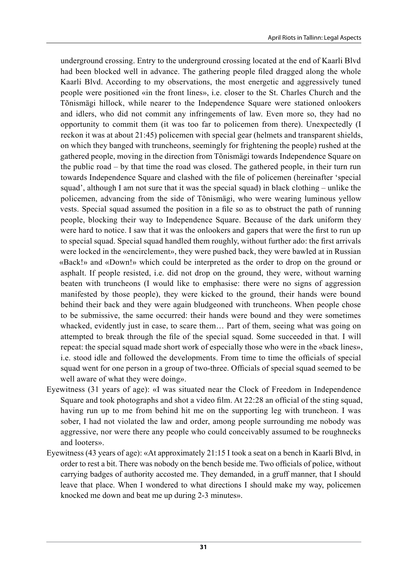underground crossing. Entry to the underground crossing located at the end of Kaarli Blvd had been blocked well in advance. The gathering people filed dragged along the whole Kaarli Blvd. According to my observations, the most energetic and aggressively tuned people were positioned «in the front lines», i.e. closer to the St. Charles Church and the Tõnismägi hillock, while nearer to the Independence Square were stationed onlookers and idlers, who did not commit any infringements of law. Even more so, they had no opportunity to commit them (it was too far to policemen from there). Unexpectedly (I reckon it was at about 21:45) policemen with special gear (helmets and transparent shields, on which they banged with truncheons, seemingly for frightening the people) rushed at the gathered people, moving in the direction from Tõnismägi towards Independence Square on the public road – by that time the road was closed. The gathered people, in their turn run towards Independence Square and clashed with the file of policemen (hereinafter 'special squad', although I am not sure that it was the special squad) in black clothing – unlike the policemen, advancing from the side of Tõnismägi, who were wearing luminous yellow vests. Special squad assumed the position in a file so as to obstruct the path of running people, blocking their way to Independence Square. Because of the dark uniform they were hard to notice. I saw that it was the onlookers and gapers that were the first to run up to special squad. Special squad handled them roughly, without further ado: the first arrivals were locked in the «encirclement», they were pushed back, they were bawled at in Russian «Back!» and «Down!» which could be interpreted as the order to drop on the ground or asphalt. If people resisted, i.e. did not drop on the ground, they were, without warning beaten with truncheons (I would like to emphasise: there were no signs of aggression manifested by those people), they were kicked to the ground, their hands were bound behind their back and they were again bludgeoned with truncheons. When people chose to be submissive, the same occurred: their hands were bound and they were sometimes whacked, evidently just in case, to scare them… Part of them, seeing what was going on attempted to break through the file of the special squad. Some succeeded in that. I will repeat: the special squad made short work of especially those who were in the «back lines», i.e. stood idle and followed the developments. From time to time the officials of special squad went for one person in a group of two-three. Officials of special squad seemed to be well aware of what they were doing».

- Eyewitness (31 years of age): «I was situated near the Clock of Freedom in Independence Square and took photographs and shot a video film. At 22:28 an official of the sting squad, having run up to me from behind hit me on the supporting leg with truncheon. I was sober, I had not violated the law and order, among people surrounding me nobody was aggressive, nor were there any people who could conceivably assumed to be roughnecks and looters».
- Eyewitness (43 years of age): «At approximately 21:15 I took a seat on a bench in Kaarli Blvd, in order to rest a bit. There was nobody on the bench beside me. Two officials of police, without carrying badges of authority accosted me. They demanded, in a gruff manner, that I should leave that place. When I wondered to what directions I should make my way, policemen knocked me down and beat me up during 2-3 minutes».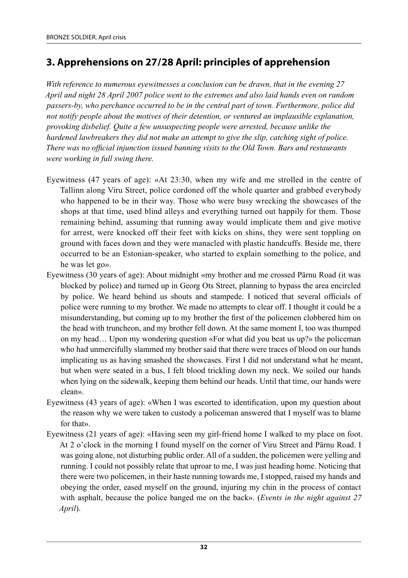# **3. Apprehensions on 27/28 April: principles of apprehension**

*With reference to numerous eyewitnesses a conclusion can be drawn, that in the evening 27 April and night 28 April 2007 police went to the extremes and also laid hands even on random passers-by, who perchance occurred to be in the central part of town. Furthermore, police did not notify people about the motives of their detention, or ventured an implausible explanation, provoking disbelief. Quite a few unsuspecting people were arrested, because unlike the hardened lawbreakers they did not make an attempt to give the slip, catching sight of police. There was no official injunction issued banning visits to the Old Town. Bars and restaurants were working in full swing there.*

- Eyewitness (47 years of age): «At 23:30, when my wife and me strolled in the centre of Tallinn along Viru Street, police cordoned off the whole quarter and grabbed everybody who happened to be in their way. Those who were busy wrecking the showcases of the shops at that time, used blind alleys and everything turned out happily for them. Those remaining behind, assuming that running away would implicate them and give motive for arrest, were knocked off their feet with kicks on shins, they were sent toppling on ground with faces down and they were manacled with plastic handcuffs. Beside me, there occurred to be an Estonian-speaker, who started to explain something to the police, and he was let go».
- Eyewitness (30 years of age): About midnight «my brother and me crossed Pärnu Road (it was blocked by police) and turned up in Georg Ots Street, planning to bypass the area encircled by police. We heard behind us shouts and stampede. I noticed that several officials of police were running to my brother. We made no attempts to clear off. I thought it could be a misunderstanding, but coming up to my brother the first of the policemen clobbered him on the head with truncheon, and my brother fell down. At the same moment I, too was thumped on my head… Upon my wondering question «For what did you beat us up?» the policeman who had unmercifully slammed my brother said that there were traces of blood on our hands implicating us as having smashed the showcases. First I did not understand what he meant, but when were seated in a bus, I felt blood trickling down my neck. We soiled our hands when lying on the sidewalk, keeping them behind our heads. Until that time, our hands were clean».
- Eyewitness (43 years of age): «When I was escorted to identification, upon my question about the reason why we were taken to custody a policeman answered that I myself was to blame for that».
- Eyewitness (21 years of age): «Having seen my girl-friend home I walked to my place on foot. At 2 o'clock in the morning I found myself on the corner of Viru Street and Pärnu Road. I was going alone, not disturbing public order. All of a sudden, the policemen were yelling and running. I could not possibly relate that uproar to me, I was just heading home. Noticing that there were two policemen, in their haste running towards me, I stopped, raised my hands and obeying the order, eased myself on the ground, injuring my chin in the process of contact with asphalt, because the police banged me on the back». (*Events in the night against 27 April*).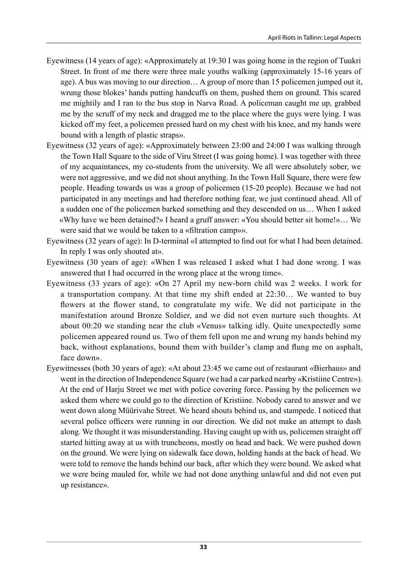- Eyewitness (14 years of age): «Approximately at 19:30 I was going home in the region of Tuukri Street. In front of me there were three male youths walking (approximately 15‑16 years of age). A bus was moving to our direction… A group of more than 15 policemen jumped out it, wrung those blokes' hands putting handcuffs on them, pushed them on ground. This scared me mightily and I ran to the bus stop in Narva Road. A policeman caught me up, grabbed me by the scruff of my neck and dragged me to the place where the guys were lying. I was kicked off my feet, a policemen pressed hard on my chest with his knee, and my hands were bound with a length of plastic straps».
- Eyewitness (32 years of age): «Approximately between 23:00 and 24:00 I was walking through the Town Hall Square to the side of Viru Street (I was going home). I was together with three of my acquaintances, my co-students from the university. We all were absolutely sober, we were not aggressive, and we did not shout anything. In the Town Hall Square, there were few people. Heading towards us was a group of policemen (15-20 people). Because we had not participated in any meetings and had therefore nothing fear, we just continued ahead. All of a sudden one of the policemen barked something and they descended on us… When I asked «Why have we been detained?» I heard a gruff answer: «You should better sit home!»… We were said that we would be taken to a «filtration camp»».
- Eyewitness (32 years of age): In D-terminal «I attempted to find out for what I had been detained. In reply I was only shouted at».
- Eyewitness (30 years of age): «When I was released I asked what I had done wrong. I was answered that I had occurred in the wrong place at the wrong time».
- Eyewitness (33 years of age): «On 27 April my new-born child was 2 weeks. I work for a transportation company. At that time my shift ended at 22:30… We wanted to buy flowers at the flower stand, to congratulate my wife. We did not participate in the manifestation around Bronze Soldier, and we did not even nurture such thoughts. At about 00:20 we standing near the club «Venus» talking idly. Quite unexpectedly some policemen appeared round us. Two of them fell upon me and wrung my hands behind my back, without explanations, bound them with builder's clamp and flung me on asphalt, face down».
- Eyewitnesses (both 30 years of age): «At about 23:45 we came out of restaurant «Bierhaus» and went in the direction of Independence Square (we had a car parked nearby «Kristiine Centre»). At the end of Harju Street we met with police covering force. Passing by the policemen we asked them where we could go to the direction of Kristiine. Nobody cared to answer and we went down along Müürivahe Street. We heard shouts behind us, and stampede. I noticed that several police officers were running in our direction. We did not make an attempt to dash along. We thought it was misunderstanding. Having caught up with us, policemen straight off started hitting away at us with truncheons, mostly on head and back. We were pushed down on the ground. We were lying on sidewalk face down, holding hands at the back of head. We were told to remove the hands behind our back, after which they were bound. We asked what we were being mauled for, while we had not done anything unlawful and did not even put up resistance».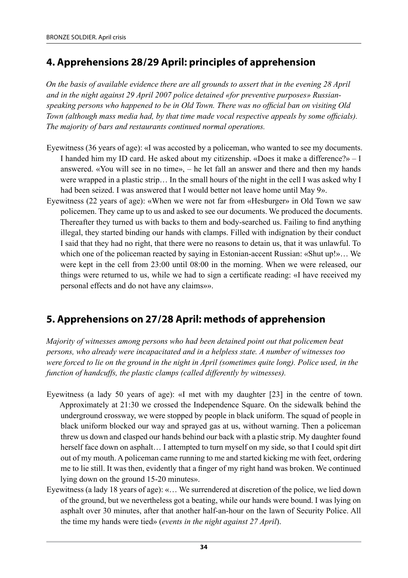# **4. Apprehensions 28/29 April: principles of apprehension**

*On the basis of available evidence there are all grounds to assert that in the evening 28 April and in the night against 29 April 2007 police detained «for preventive purposes» Russianspeaking persons who happened to be in Old Town. There was no official ban on visiting Old Town (although mass media had, by that time made vocal respective appeals by some officials). The majority of bars and restaurants continued normal operations.*

- Eyewitness (36 years of age): «I was accosted by a policeman, who wanted to see my documents. I handed him my ID card. He asked about my citizenship. «Does it make a difference?»  $-1$ answered. «You will see in no time», – he let fall an answer and there and then my hands were wrapped in a plastic strip… In the small hours of the night in the cell I was asked why I had been seized. I was answered that I would better not leave home until May 9».
- Eyewitness (22 years of age): «When we were not far from «Hesburger» in Old Town we saw policemen. They came up to us and asked to see our documents. We produced the documents. Thereafter they turned us with backs to them and body-searched us. Failing to find anything illegal, they started binding our hands with clamps. Filled with indignation by their conduct I said that they had no right, that there were no reasons to detain us, that it was unlawful. To which one of the policeman reacted by saying in Estonian-accent Russian: «Shut up!»... We were kept in the cell from 23:00 until 08:00 in the morning. When we were released, our things were returned to us, while we had to sign a certificate reading: «I have received my personal effects and do not have any claims»».

# **5. Apprehensions on 27/28 April: methods of apprehension**

*Majority of witnesses among persons who had been detained point out that policemen beat persons, who already were incapacitated and in a helpless state. A number of witnesses too were forced to lie on the ground in the night in April (sometimes quite long). Police used, in the function of handcuffs, the plastic clamps (called differently by witnesses).*

- Eyewitness (a lady 50 years of age): «I met with my daughter [23] in the centre of town. Approximately at 21:30 we crossed the Independence Square. On the sidewalk behind the underground crossway, we were stopped by people in black uniform. The squad of people in black uniform blocked our way and sprayed gas at us, without warning. Then a policeman threw us down and clasped our hands behind our back with a plastic strip. My daughter found herself face down on asphalt... I attempted to turn myself on my side, so that I could spit dirt out of my mouth. A policeman came running to me and started kicking me with feet, ordering me to lie still. It was then, evidently that a finger of my right hand was broken. We continued lying down on the ground 15-20 minutes».
- Eyewitness (a lady 18 years of age): «… We surrendered at discretion of the police, we lied down of the ground, but we nevertheless got a beating, while our hands were bound. I was lying on asphalt over 30 minutes, after that another half-an-hour on the lawn of Security Police. All the time my hands were tied» (*events in the night against 27 April*).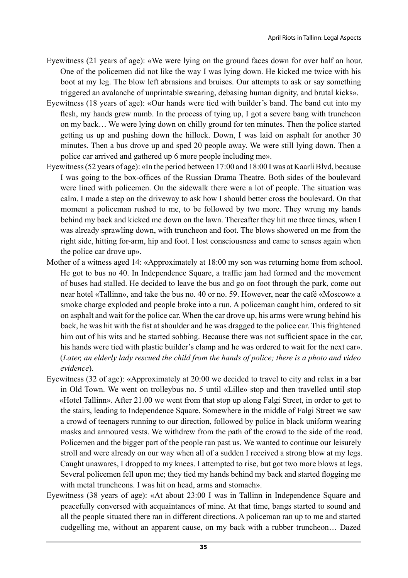- Eyewitness (21 years of age): «We were lying on the ground faces down for over half an hour. One of the policemen did not like the way I was lying down. He kicked me twice with his boot at my leg. The blow left abrasions and bruises. Our attempts to ask or say something triggered an avalanche of unprintable swearing, debasing human dignity, and brutal kicks».
- Eyewitness (18 years of age): «Our hands were tied with builder's band. The band cut into my flesh, my hands grew numb. In the process of tying up, I got a severe bang with truncheon on my back… We were lying down on chilly ground for ten minutes. Then the police started getting us up and pushing down the hillock. Down, I was laid on asphalt for another 30 minutes. Then a bus drove up and sped 20 people away. We were still lying down. Then a police car arrived and gathered up 6 more people including me».
- Eyewitness (52 years of age): «In the period between 17:00 and 18:00 I was at Kaarli Blvd, because I was going to the box-offices of the Russian Drama Theatre. Both sides of the boulevard were lined with policemen. On the sidewalk there were a lot of people. The situation was calm. I made a step on the driveway to ask how I should better cross the boulevard. On that moment a policeman rushed to me, to be followed by two more. They wrung my hands behind my back and kicked me down on the lawn. Thereafter they hit me three times, when I was already sprawling down, with truncheon and foot. The blows showered on me from the right side, hitting for-arm, hip and foot. I lost consciousness and came to senses again when the police car drove up».
- Mother of a witness aged 14: «Approximately at 18:00 my son was returning home from school. He got to bus no 40. In Independence Square, a traffic jam had formed and the movement of buses had stalled. He decided to leave the bus and go on foot through the park, come out near hotel «Tallinn», and take the bus no. 40 or no. 59. However, near the café «Moscow» a smoke charge exploded and people broke into a run. A policeman caught him, ordered to sit on asphalt and wait for the police car. When the car drove up, his arms were wrung behind his back, he was hit with the fist at shoulder and he was dragged to the police car. This frightened him out of his wits and he started sobbing. Because there was not sufficient space in the car, his hands were tied with plastic builder's clamp and he was ordered to wait for the next car». (*Later, an elderly lady rescued the child from the hands of police; there is a photo and video evidence*).
- Eyewitness (32 of age): «Approximately at 20:00 we decided to travel to city and relax in a bar in Old Town. We went on trolleybus no. 5 until «Lille» stop and then travelled until stop «Hotel Tallinn». After 21.00 we went from that stop up along Falgi Street, in order to get to the stairs, leading to Independence Square. Somewhere in the middle of Falgi Street we saw a crowd of teenagers running to our direction, followed by police in black uniform wearing masks and armoured vests. We withdrew from the path of the crowd to the side of the road. Policemen and the bigger part of the people ran past us. We wanted to continue our leisurely stroll and were already on our way when all of a sudden I received a strong blow at my legs. Caught unawares, I dropped to my knees. I attempted to rise, but got two more blows at legs. Several policemen fell upon me; they tied my hands behind my back and started flogging me with metal truncheons. I was hit on head, arms and stomach».
- Eyewitness (38 years of age): «At about 23:00 I was in Tallinn in Independence Square and peacefully conversed with acquaintances of mine. At that time, bangs started to sound and all the people situated there ran in different directions. A policeman ran up to me and started cudgelling me, without an apparent cause, on my back with a rubber truncheon… Dazed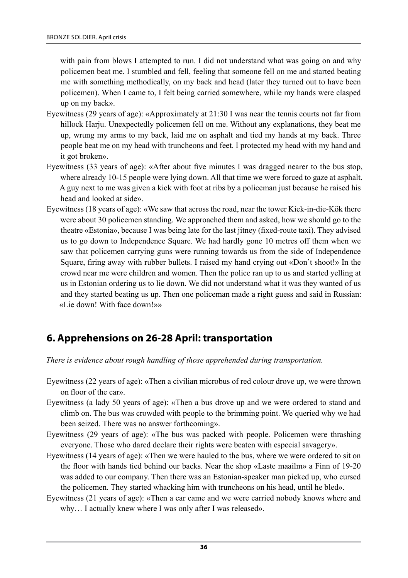with pain from blows I attempted to run. I did not understand what was going on and why policemen beat me. I stumbled and fell, feeling that someone fell on me and started beating me with something methodically, on my back and head (later they turned out to have been policemen). When I came to, I felt being carried somewhere, while my hands were clasped up on my back».

- Eyewitness (29 years of age): «Approximately at 21:30 I was near the tennis courts not far from hillock Harju. Unexpectedly policemen fell on me. Without any explanations, they beat me up, wrung my arms to my back, laid me on asphalt and tied my hands at my back. Three people beat me on my head with truncheons and feet. I protected my head with my hand and it got broken».
- Eyewitness (33 years of age): «After about five minutes I was dragged nearer to the bus stop, where already 10-15 people were lying down. All that time we were forced to gaze at asphalt. A guy next to me was given a kick with foot at ribs by a policeman just because he raised his head and looked at side».
- Eyewitness (18 years of age): «We saw that across the road, near the tower Kiek-in-die-Kök there were about 30 policemen standing. We approached them and asked, how we should go to the theatre «Estonia», because I was being late for the last jitney (fixed-route taxi). They advised us to go down to Independence Square. We had hardly gone 10 metres off them when we saw that policemen carrying guns were running towards us from the side of Independence Square, firing away with rubber bullets. I raised my hand crying out «Don't shoot!» In the crowd near me were children and women. Then the police ran up to us and started yelling at us in Estonian ordering us to lie down. We did not understand what it was they wanted of us and they started beating us up. Then one policeman made a right guess and said in Russian: «Lie down! With face down!»»

### **6. Apprehensions on 26‑28 April: transportation**

*There is evidence about rough handling of those apprehended during transportation.*

- Eyewitness (22 years of age): «Then a civilian microbus of red colour drove up, we were thrown on floor of the car».
- Eyewitness (a lady 50 years of age): «Then a bus drove up and we were ordered to stand and climb on. The bus was crowded with people to the brimming point. We queried why we had been seized. There was no answer forthcoming».
- Eyewitness (29 years of age): «The bus was packed with people. Policemen were thrashing everyone. Those who dared declare their rights were beaten with especial savagery».
- Eyewitness (14 years of age): «Then we were hauled to the bus, where we were ordered to sit on the floor with hands tied behind our backs. Near the shop «Laste maailm» a Finn of 19‑20 was added to our company. Then there was an Estonian-speaker man picked up, who cursed the policemen. They started whacking him with truncheons on his head, until he bled».
- Eyewitness (21 years of age): «Then a car came and we were carried nobody knows where and why… I actually knew where I was only after I was released».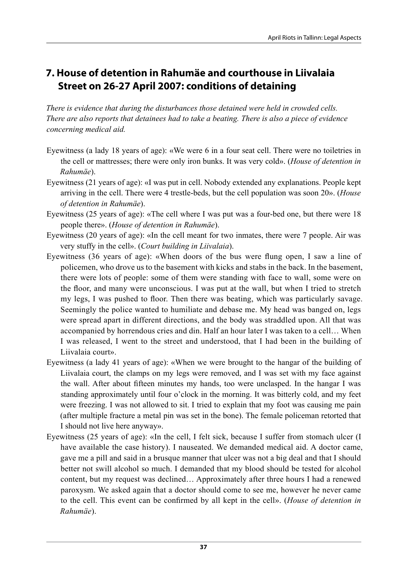# **7. House of detention in Rahumäe and courthouse in Liivalaia Street on 26‑27 April 2007: conditions of detaining**

*There is evidence that during the disturbances those detained were held in crowded cells. There are also reports that detainees had to take a beating. There is also a piece of evidence concerning medical aid.*

- Eyewitness (a lady 18 years of age): «We were 6 in a four seat cell. There were no toiletries in the cell or mattresses; there were only iron bunks. It was very cold». (*House of detention in Rahumäe*).
- Eyewitness (21 years of age): «I was put in cell. Nobody extended any explanations. People kept arriving in the cell. There were 4 trestle-beds, but the cell population was soon 20». (*House of detention in Rahumäe*).
- Eyewitness (25 years of age): «The cell where I was put was a four-bed one, but there were 18 people there». (*House of detention in Rahumäe*).
- Eyewitness (20 years of age): «In the cell meant for two inmates, there were 7 people. Air was very stuffy in the cell». (*Court building in Liivalaia*).
- Eyewitness (36 years of age): «When doors of the bus were flung open, I saw a line of policemen, who drove us to the basement with kicks and stabs in the back. In the basement, there were lots of people: some of them were standing with face to wall, some were on the floor, and many were unconscious. I was put at the wall, but when I tried to stretch my legs, I was pushed to floor. Then there was beating, which was particularly savage. Seemingly the police wanted to humiliate and debase me. My head was banged on, legs were spread apart in different directions, and the body was straddled upon. All that was accompanied by horrendous cries and din. Half an hour later I was taken to a cell… When I was released, I went to the street and understood, that I had been in the building of Liivalaia court».
- Eyewitness (a lady 41 years of age): «When we were brought to the hangar of the building of Liivalaia court, the clamps on my legs were removed, and I was set with my face against the wall. After about fifteen minutes my hands, too were unclasped. In the hangar I was standing approximately until four o'clock in the morning. It was bitterly cold, and my feet were freezing. I was not allowed to sit. I tried to explain that my foot was causing me pain (after multiple fracture a metal pin was set in the bone). The female policeman retorted that I should not live here anyway».
- Eyewitness (25 years of age): «In the cell, I felt sick, because I suffer from stomach ulcer (I have available the case history). I nauseated. We demanded medical aid. A doctor came, gave me a pill and said in a brusque manner that ulcer was not a big deal and that I should better not swill alcohol so much. I demanded that my blood should be tested for alcohol content, but my request was declined… Approximately after three hours I had a renewed paroxysm. We asked again that a doctor should come to see me, however he never came to the cell. This event can be confirmed by all kept in the cell». (*House of detention in Rahumäe*).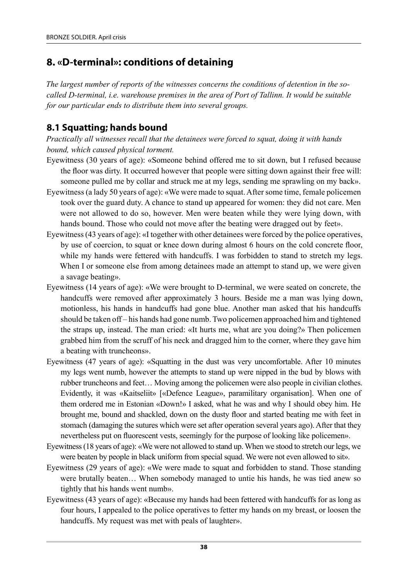# **8. «D-terminal»: conditions of detaining**

*The largest number of reports of the witnesses concerns the conditions of detention in the socalled D-terminal, i.e. warehouse premises in the area of Port of Tallinn. It would be suitable for our particular ends to distribute them into several groups.*

### **8.1 Squatting; hands bound**

*Practically all witnesses recall that the detainees were forced to squat, doing it with hands bound, which caused physical torment.*

- Eyewitness (30 years of age): «Someone behind offered me to sit down, but I refused because the floor was dirty. It occurred however that people were sitting down against their free will: someone pulled me by collar and struck me at my legs, sending me sprawling on my back».
- Eyewitness (a lady 50 years of age): «We were made to squat. After some time, female policemen took over the guard duty. A chance to stand up appeared for women: they did not care. Men were not allowed to do so, however. Men were beaten while they were lying down, with hands bound. Those who could not move after the beating were dragged out by feet».
- Eyewitness (43 years of age): «I together with other detainees were forced by the police operatives, by use of coercion, to squat or knee down during almost 6 hours on the cold concrete floor, while my hands were fettered with handcuffs. I was forbidden to stand to stretch my legs. When I or someone else from among detainees made an attempt to stand up, we were given a savage beating».
- Eyewitness (14 years of age): «We were brought to D-terminal, we were seated on concrete, the handcuffs were removed after approximately 3 hours. Beside me a man was lying down, motionless, his hands in handcuffs had gone blue. Another man asked that his handcuffs should be taken off – his hands had gone numb. Two policemen approached him and tightened the straps up, instead. The man cried: «It hurts me, what are you doing?» Then policemen grabbed him from the scruff of his neck and dragged him to the corner, where they gave him a beating with truncheons».
- Eyewitness (47 years of age): «Squatting in the dust was very uncomfortable. After 10 minutes my legs went numb, however the attempts to stand up were nipped in the bud by blows with rubber truncheons and feet… Moving among the policemen were also people in civilian clothes. Evidently, it was «Kaitseliit» [«Defence League», paramilitary organisation]. When one of them ordered me in Estonian «Down!» I asked, what he was and why I should obey him. He brought me, bound and shackled, down on the dusty floor and started beating me with feet in stomach (damaging the sutures which were set after operation several years ago). After that they nevertheless put on fluorescent vests, seemingly for the purpose of looking like policemen».
- Eyewitness (18 years of age): «We were not allowed to stand up. When we stood to stretch our legs, we were beaten by people in black uniform from special squad. We were not even allowed to sit».
- Eyewitness (29 years of age): «We were made to squat and forbidden to stand. Those standing were brutally beaten… When somebody managed to untie his hands, he was tied anew so tightly that his hands went numb».
- Eyewitness (43 years of age): «Because my hands had been fettered with handcuffs for as long as four hours, I appealed to the police operatives to fetter my hands on my breast, or loosen the handcuffs. My request was met with peals of laughter».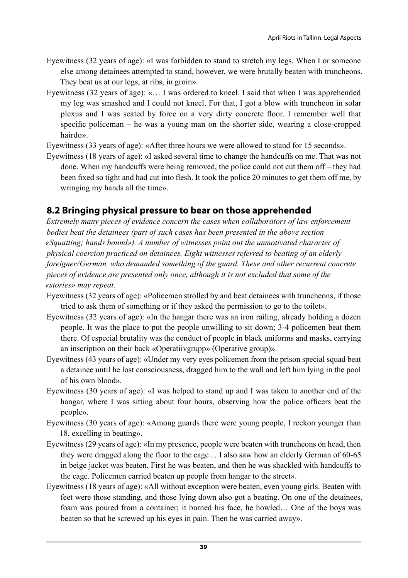- Eyewitness (32 years of age): «I was forbidden to stand to stretch my legs. When I or someone else among detainees attempted to stand, however, we were brutally beaten with truncheons. They beat us at our legs, at ribs, in groin».
- Eyewitness (32 years of age): «… I was ordered to kneel. I said that when I was apprehended my leg was smashed and I could not kneel. For that, I got a blow with truncheon in solar plexus and I was seated by force on a very dirty concrete floor. I remember well that specific policeman – he was a young man on the shorter side, wearing a close-cropped hairdo».

Eyewitness (33 years of age): «After three hours we were allowed to stand for 15 seconds».

Eyewitness (18 years of age): «I asked several time to change the handcuffs on me. That was not done. When my handcuffs were being removed, the police could not cut them off – they had been fixed so tight and had cut into flesh. It took the police 20 minutes to get them off me, by wringing my hands all the time».

### **8.2 Bringing physical pressure to bear on those apprehended**

*Extremely many pieces of evidence concern the cases when collaborators of law enforcement bodies beat the detainees (part of such cases has been presented in the above section «Squatting; hands bound»). A number of witnesses point out the unmotivated character of physical coercion practiced on detainees. Eight witnesses referred to beating of an elderly foreigner/German, who demanded something of the guard. These and other recurrent concrete pieces of evidence are presented only once, although it is not excluded that some of the «stories» may repeat.*

- Eyewitness (32 years of age): «Policemen strolled by and beat detainees with truncheons, if those tried to ask them of something or if they asked the permission to go to the toilet».
- Eyewitness (32 years of age): «In the hangar there was an iron railing, already holding a dozen people. It was the place to put the people unwilling to sit down; 3‑4 policemen beat them there. Of especial brutality was the conduct of people in black uniforms and masks, carrying an inscription on their back «Operatiivgrupp» (Operative group)».
- Eyewitness (43 years of age): «Under my very eyes policemen from the prison special squad beat a detainee until he lost consciousness, dragged him to the wall and left him lying in the pool of his own blood».
- Eyewitness (30 years of age): «I was helped to stand up and I was taken to another end of the hangar, where I was sitting about four hours, observing how the police officers beat the people».
- Eyewitness (30 years of age): «Among guards there were young people, I reckon younger than 18, excelling in beating».
- Eyewitness (29 years of age): «In my presence, people were beaten with truncheons on head, then they were dragged along the floor to the cage… I also saw how an elderly German of 60‑65 in beige jacket was beaten. First he was beaten, and then he was shackled with handcuffs to the cage. Policemen carried beaten up people from hangar to the street».
- Eyewitness (18 years of age): «All without exception were beaten, even young girls. Beaten with feet were those standing, and those lying down also got a beating. On one of the detainees, foam was poured from a container; it burned his face, he howled… One of the boys was beaten so that he screwed up his eyes in pain. Then he was carried away».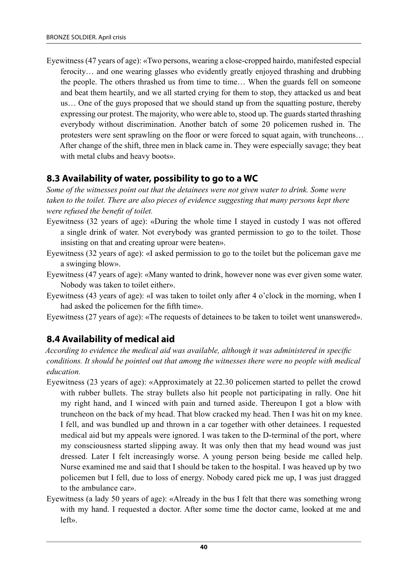Eyewitness (47 years of age): «Two persons, wearing a close-cropped hairdo, manifested especial ferocity… and one wearing glasses who evidently greatly enjoyed thrashing and drubbing the people. The others thrashed us from time to time… When the guards fell on someone and beat them heartily, and we all started crying for them to stop, they attacked us and beat us… One of the guys proposed that we should stand up from the squatting posture, thereby expressing our protest. The majority, who were able to, stood up. The guards started thrashing everybody without discrimination. Another batch of some 20 policemen rushed in. The protesters were sent sprawling on the floor or were forced to squat again, with truncheons… After change of the shift, three men in black came in. They were especially savage; they beat with metal clubs and heavy boots».

#### **8.3 Availability of water, possibility to go to a WC**

*Some of the witnesses point out that the detainees were not given water to drink. Some were taken to the toilet. There are also pieces of evidence suggesting that many persons kept there were refused the benefit of toilet.*

- Eyewitness (32 years of age): «During the whole time I stayed in custody I was not offered a single drink of water. Not everybody was granted permission to go to the toilet. Those insisting on that and creating uproar were beaten».
- Eyewitness (32 years of age): «I asked permission to go to the toilet but the policeman gave me a swinging blow».
- Eyewitness (47 years of age): «Many wanted to drink, however none was ever given some water. Nobody was taken to toilet either».
- Eyewitness (43 years of age): «I was taken to toilet only after 4 o'clock in the morning, when I had asked the policemen for the fifth time».
- Eyewitness (27 years of age): «The requests of detainees to be taken to toilet went unanswered».

#### **8.4 Availability of medical aid**

*According to evidence the medical aid was available, although it was administered in specific conditions. It should be pointed out that among the witnesses there were no people with medical education.*

- Eyewitness (23 years of age): «Approximately at 22.30 policemen started to pellet the crowd with rubber bullets. The stray bullets also hit people not participating in rally. One hit my right hand, and I winced with pain and turned aside. Thereupon I got a blow with truncheon on the back of my head. That blow cracked my head. Then I was hit on my knee. I fell, and was bundled up and thrown in a car together with other detainees. I requested medical aid but my appeals were ignored. I was taken to the D-terminal of the port, where my consciousness started slipping away. It was only then that my head wound was just dressed. Later I felt increasingly worse. A young person being beside me called help. Nurse examined me and said that I should be taken to the hospital. I was heaved up by two policemen but I fell, due to loss of energy. Nobody cared pick me up, I was just dragged to the ambulance car».
- Eyewitness (a lady 50 years of age): «Already in the bus I felt that there was something wrong with my hand. I requested a doctor. After some time the doctor came, looked at me and left».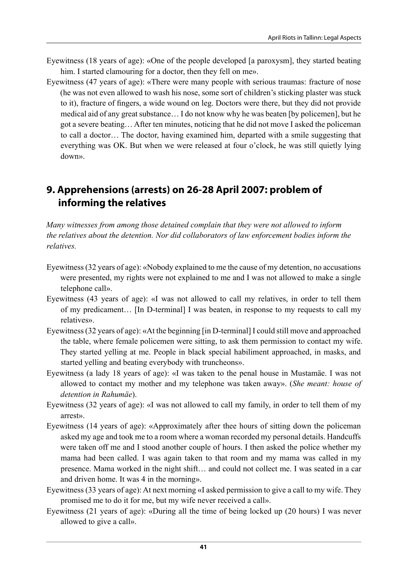- Eyewitness (18 years of age): «One of the people developed [a paroxysm], they started beating him. I started clamouring for a doctor, then they fell on me».
- Eyewitness (47 years of age): «There were many people with serious traumas: fracture of nose (he was not even allowed to wash his nose, some sort of children's sticking plaster was stuck to it), fracture of fingers, a wide wound on leg. Doctors were there, but they did not provide medical aid of any great substance… I do not know why he was beaten [by policemen], but he got a severe beating… After ten minutes, noticing that he did not move I asked the policeman to call a doctor… The doctor, having examined him, departed with a smile suggesting that everything was OK. But when we were released at four o'clock, he was still quietly lying down».

# **9. Apprehensions (arrests) on 26‑28 April 2007: problem of informing the relatives**

*Many witnesses from among those detained complain that they were not allowed to inform the relatives about the detention. Nor did collaborators of law enforcement bodies inform the relatives.*

- Eyewitness (32 years of age): «Nobody explained to me the cause of my detention, no accusations were presented, my rights were not explained to me and I was not allowed to make a single telephone call».
- Eyewitness (43 years of age): «I was not allowed to call my relatives, in order to tell them of my predicament… [In D-terminal] I was beaten, in response to my requests to call my relatives».
- Eyewitness (32 years of age): «At the beginning [in D-terminal] I could still move and approached the table, where female policemen were sitting, to ask them permission to contact my wife. They started yelling at me. People in black special habiliment approached, in masks, and started yelling and beating everybody with truncheons».
- Eyewitness (a lady 18 years of age): «I was taken to the penal house in Mustamäe. I was not allowed to contact my mother and my telephone was taken away». (*She meant: house of detention in Rahumäe*).
- Eyewitness (32 years of age): «I was not allowed to call my family, in order to tell them of my arrest».
- Eyewitness (14 years of age): «Approximately after thee hours of sitting down the policeman asked my age and took me to a room where a woman recorded my personal details. Handcuffs were taken off me and I stood another couple of hours. I then asked the police whether my mama had been called. I was again taken to that room and my mama was called in my presence. Mama worked in the night shift… and could not collect me. I was seated in a car and driven home. It was 4 in the morning».
- Eyewitness (33 years of age): At next morning «I asked permission to give a call to my wife. They promised me to do it for me, but my wife never received a call».
- Eyewitness (21 years of age): «During all the time of being locked up (20 hours) I was never allowed to give a call».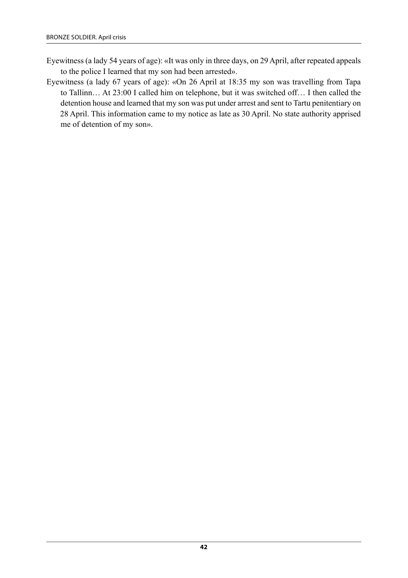- Eyewitness (a lady 54 years of age): «It was only in three days, on 29 April, after repeated appeals to the police I learned that my son had been arrested».
- Eyewitness (a lady 67 years of age): «On 26 April at 18:35 my son was travelling from Tapa to Tallinn… At 23:00 I called him on telephone, but it was switched off… I then called the detention house and learned that my son was put under arrest and sent to Tartu penitentiary on 28 April. This information came to my notice as late as 30 April. No state authority apprised me of detention of my son».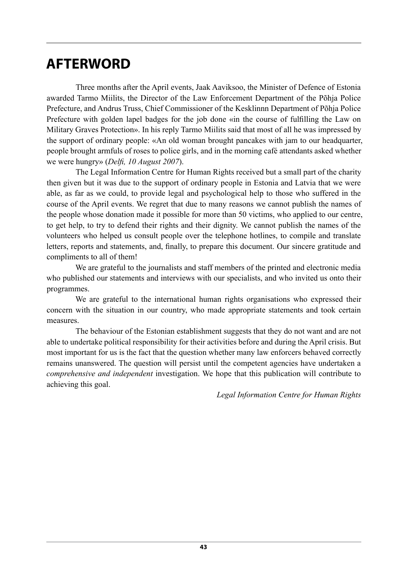# **AFTERWORD**

Three months after the April events, Jaak Aaviksoo, the Minister of Defence of Estonia awarded Tarmo Miilits, the Director of the Law Enforcement Department of the Põhja Police Prefecture, and Andrus Truss, Chief Commissioner of the Kesklinnn Department of Põhja Police Prefecture with golden lapel badges for the job done «in the course of fulfilling the Law on Military Graves Protection». In his reply Tarmo Miilits said that most of all he was impressed by the support of ordinary people: «An old woman brought pancakes with jam to our headquarter, people brought armfuls of roses to police girls, and in the morning café attendants asked whether we were hungry» (*Delfi, 10 August 2007*).

The Legal Information Centre for Human Rights received but a small part of the charity then given but it was due to the support of ordinary people in Estonia and Latvia that we were able, as far as we could, to provide legal and psychological help to those who suffered in the course of the April events. We regret that due to many reasons we cannot publish the names of the people whose donation made it possible for more than 50 victims, who applied to our centre, to get help, to try to defend their rights and their dignity. We cannot publish the names of the volunteers who helped us consult people over the telephone hotlines, to compile and translate letters, reports and statements, and, finally, to prepare this document. Our sincere gratitude and compliments to all of them!

We are grateful to the journalists and staff members of the printed and electronic media who published our statements and interviews with our specialists, and who invited us onto their programmes.

We are grateful to the international human rights organisations who expressed their concern with the situation in our country, who made appropriate statements and took certain measures.

The behaviour of the Estonian establishment suggests that they do not want and are not able to undertake political responsibility for their activities before and during the April crisis. But most important for us is the fact that the question whether many law enforcers behaved correctly remains unanswered. The question will persist until the competent agencies have undertaken a *comprehensive and independent* investigation. We hope that this publication will contribute to achieving this goal.

*Legal Information Centre for Human Rights*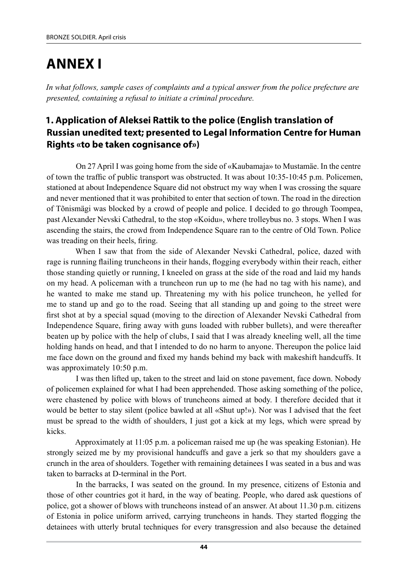# **Annex I**

*In what follows, sample cases of complaints and a typical answer from the police prefecture are presented, containing a refusal to initiate a criminal procedure.*

### **1. Application of Aleksei Rattik to the police (English translation of Russian unedited text; presented to Legal Information Centre for Human Rights «to be taken cognisance of»)**

On 27 April I was going home from the side of «Kaubamaja» to Mustamäe. In the centre of town the traffic of public transport was obstructed. It was about 10:35‑10:45 p.m. Policemen, stationed at about Independence Square did not obstruct my way when I was crossing the square and never mentioned that it was prohibited to enter that section of town. The road in the direction of Tõnismägi was blocked by a crowd of people and police. I decided to go through Toompea, past Alexander Nevski Cathedral, to the stop «Koidu», where trolleybus no. 3 stops. When I was ascending the stairs, the crowd from Independence Square ran to the centre of Old Town. Police was treading on their heels, firing.

When I saw that from the side of Alexander Nevski Cathedral, police, dazed with rage is running flailing truncheons in their hands, flogging everybody within their reach, either those standing quietly or running, I kneeled on grass at the side of the road and laid my hands on my head. A policeman with a truncheon run up to me (he had no tag with his name), and he wanted to make me stand up. Threatening my with his police truncheon, he yelled for me to stand up and go to the road. Seeing that all standing up and going to the street were first shot at by a special squad (moving to the direction of Alexander Nevski Cathedral from Independence Square, firing away with guns loaded with rubber bullets), and were thereafter beaten up by police with the help of clubs, I said that I was already kneeling well, all the time holding hands on head, and that I intended to do no harm to anyone. Thereupon the police laid me face down on the ground and fixed my hands behind my back with makeshift handcuffs. It was approximately 10:50 p.m.

I was then lifted up, taken to the street and laid on stone pavement, face down. Nobody of policemen explained for what I had been apprehended. Those asking something of the police, were chastened by police with blows of truncheons aimed at body. I therefore decided that it would be better to stay silent (police bawled at all «Shut up!»). Nor was I advised that the feet must be spread to the width of shoulders, I just got a kick at my legs, which were spread by kicks.

Approximately at 11:05 p.m. a policeman raised me up (he was speaking Estonian). He strongly seized me by my provisional handcuffs and gave a jerk so that my shoulders gave a crunch in the area of shoulders. Together with remaining detainees I was seated in a bus and was taken to barracks at D-terminal in the Port.

In the barracks, I was seated on the ground. In my presence, citizens of Estonia and those of other countries got it hard, in the way of beating. People, who dared ask questions of police, got a shower of blows with truncheons instead of an answer. At about 11.30 p.m. citizens of Estonia in police uniform arrived, carrying truncheons in hands. They started flogging the detainees with utterly brutal techniques for every transgression and also because the detained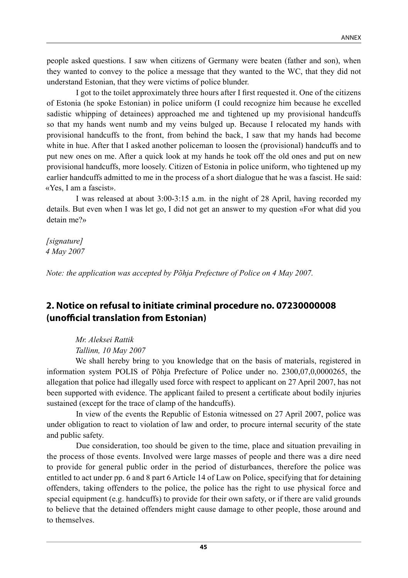people asked questions. I saw when citizens of Germany were beaten (father and son), when they wanted to convey to the police a message that they wanted to the WC, that they did not understand Estonian, that they were victims of police blunder.

I got to the toilet approximately three hours after I first requested it. One of the citizens of Estonia (he spoke Estonian) in police uniform (I could recognize him because he excelled sadistic whipping of detainees) approached me and tightened up my provisional handcuffs so that my hands went numb and my veins bulged up. Because I relocated my hands with provisional handcuffs to the front, from behind the back, I saw that my hands had become white in hue. After that I asked another policeman to loosen the (provisional) handcuffs and to put new ones on me. After a quick look at my hands he took off the old ones and put on new provisional handcuffs, more loosely. Citizen of Estonia in police uniform, who tightened up my earlier handcuffs admitted to me in the process of a short dialogue that he was a fascist. He said: «Yes, I am a fascist».

I was released at about 3:00‑3:15 a.m. in the night of 28 April, having recorded my details. But even when I was let go, I did not get an answer to my question «For what did you detain me?»

*[signature] 4 May 2007*

*Note: the application was accepted by Põhja Prefecture of Police on 4 May 2007.*

### **2. Notice on refusal to initiate criminal procedure no. 07230000008 (unofficial translation from Estonian)**

*Mr. Aleksei Rattik Tallinn, 10 May 2007*

We shall hereby bring to you knowledge that on the basis of materials, registered in information system POLIS of Põhja Prefecture of Police under no. 2300,07,0,0000265, the allegation that police had illegally used force with respect to applicant on 27 April 2007, has not been supported with evidence. The applicant failed to present a certificate about bodily injuries sustained (except for the trace of clamp of the handcuffs).

In view of the events the Republic of Estonia witnessed on 27 April 2007, police was under obligation to react to violation of law and order, to procure internal security of the state and public safety.

Due consideration, too should be given to the time, place and situation prevailing in the process of those events. Involved were large masses of people and there was a dire need to provide for general public order in the period of disturbances, therefore the police was entitled to act under pp. 6 and 8 part 6 Article 14 of Law on Police, specifying that for detaining offenders, taking offenders to the police, the police has the right to use physical force and special equipment (e.g. handcuffs) to provide for their own safety, or if there are valid grounds to believe that the detained offenders might cause damage to other people, those around and to themselves.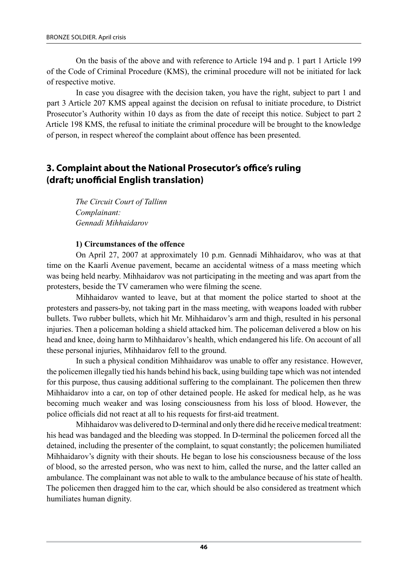On the basis of the above and with reference to Article 194 and p. 1 part 1 Article 199 of the Code of Criminal Procedure (KMS), the criminal procedure will not be initiated for lack of respective motive.

In case you disagree with the decision taken, you have the right, subject to part 1 and part 3 Article 207 KMS appeal against the decision on refusal to initiate procedure, to District Prosecutor's Authority within 10 days as from the date of receipt this notice. Subject to part 2 Article 198 KMS, the refusal to initiate the criminal procedure will be brought to the knowledge of person, in respect whereof the complaint about offence has been presented.

### **3. Complaint about the National Prosecutor's office's ruling (draft; unofficial English translation)**

*The Circuit Court of Tallinn Complainant: Gennadi Mihhaidarov*

#### **1) Circumstances of the offence**

On April 27, 2007 at approximately 10 p.m. Gennadi Mihhaidarov, who was at that time on the Kaarli Avenue pavement, became an accidental witness of a mass meeting which was being held nearby. Mihhaidarov was not participating in the meeting and was apart from the protesters, beside the TV cameramen who were filming the scene.

Mihhaidarov wanted to leave, but at that moment the police started to shoot at the protesters and passers-by, not taking part in the mass meeting, with weapons loaded with rubber bullets. Two rubber bullets, which hit Mr. Mihhaidarov's arm and thigh, resulted in his personal injuries. Then a policeman holding a shield attacked him. The policeman delivered a blow on his head and knee, doing harm to Mihhaidarov's health, which endangered his life. On account of all these personal injuries, Mihhaidarov fell to the ground.

In such a physical condition Mihhaidarov was unable to offer any resistance. However, the policemen illegally tied his hands behind his back, using building tape which was not intended for this purpose, thus causing additional suffering to the complainant. The policemen then threw Mihhaidarov into a car, on top of other detained people. He asked for medical help, as he was becoming much weaker and was losing consciousness from his loss of blood. However, the police officials did not react at all to his requests for first-aid treatment.

Mihhaidarov was delivered to D-terminal and only there did he receive medical treatment: his head was bandaged and the bleeding was stopped. In D-terminal the policemen forced all the detained, including the presenter of the complaint, to squat constantly; the policemen humiliated Mihhaidarov's dignity with their shouts. He began to lose his consciousness because of the loss of blood, so the arrested person, who was next to him, called the nurse, and the latter called an ambulance. The complainant was not able to walk to the ambulance because of his state of health. The policemen then dragged him to the car, which should be also considered as treatment which humiliates human dignity.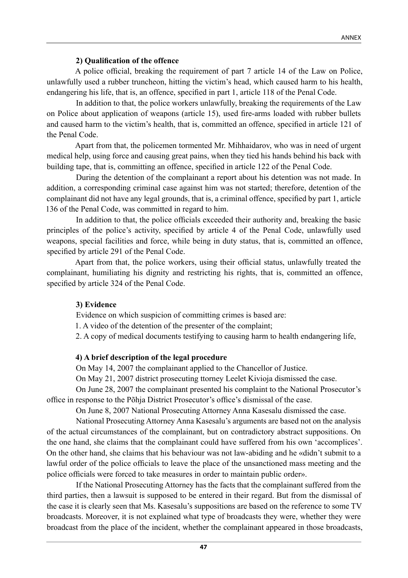#### **2) Qualification of the offence**

A police official, breaking the requirement of part 7 article 14 of the Law on Police, unlawfully used a rubber truncheon, hitting the victim's head, which caused harm to his health, endangering his life, that is, an offence, specified in part 1, article 118 of the Penal Code.

In addition to that, the police workers unlawfully, breaking the requirements of the Law on Police about application of weapons (article 15), used fire-arms loaded with rubber bullets and caused harm to the victim's health, that is, committed an offence, specified in article 121 of the Penal Code.

Apart from that, the policemen tormented Mr. Mihhaidarov, who was in need of urgent medical help, using force and causing great pains, when they tied his hands behind his back with building tape, that is, committing an offence, specified in article 122 of the Penal Code.

During the detention of the complainant a report about his detention was not made. In addition, a corresponding criminal case against him was not started; therefore, detention of the complainant did not have any legal grounds, that is, a criminal offence, specified by part 1, article 136 of the Penal Code, was committed in regard to him.

In addition to that, the police officials exceeded their authority and, breaking the basic principles of the police's activity, specified by article 4 of the Penal Code, unlawfully used weapons, special facilities and force, while being in duty status, that is, committed an offence, specified by article 291 of the Penal Code.

Apart from that, the police workers, using their official status, unlawfully treated the complainant, humiliating his dignity and restricting his rights, that is, committed an offence, specified by article 324 of the Penal Code.

#### **3) Evidence**

Evidence on which suspicion of committing crimes is based are:

1. A video of the detention of the presenter of the complaint;

2. A copy of medical documents testifying to causing harm to health endangering life,

#### **4) A brief description of the legal procedure**

On May 14, 2007 the complainant applied to the Chancellor of Justice.

On May 21, 2007 district prosecuting ttorney Leelet Kivioja dismissed the case.

On June 28, 2007 the complainant presented his complaint to the National prosecutor's office in response to the Põhja district prosecutor's office's dismissal of the case.

On June 8, 2007 National Prosecuting Attorney Anna Kasesalu dismissed the case.

National Prosecuting Attorney Anna Kasesalu's arguments are based not on the analysis of the actual circumstances of the complainant, but on contradictory abstract suppositions. On the one hand, she claims that the complainant could have suffered from his own 'accomplices'. On the other hand, she claims that his behaviour was not law-abiding and he «didn't submit to a lawful order of the police officials to leave the place of the unsanctioned mass meeting and the police officials were forced to take measures in order to maintain public order».

If the National Prosecuting Attorney has the facts that the complainant suffered from the third parties, then a lawsuit is supposed to be entered in their regard. But from the dismissal of the case it is clearly seen that Ms. Kasesalu's suppositions are based on the reference to some TV broadcasts. Moreover, it is not explained what type of broadcasts they were, whether they were broadcast from the place of the incident, whether the complainant appeared in those broadcasts,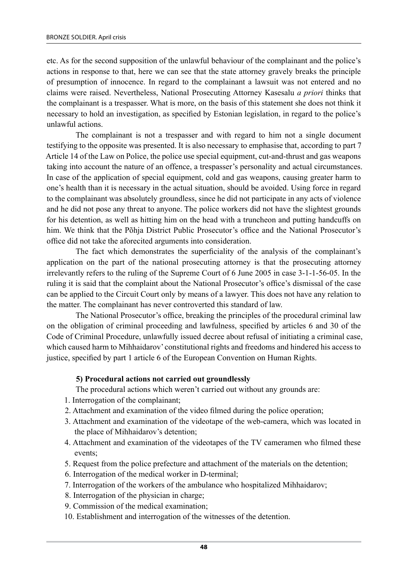etc. As for the second supposition of the unlawful behaviour of the complainant and the police's actions in response to that, here we can see that the state attorney gravely breaks the principle of presumption of innocence. In regard to the complainant a lawsuit was not entered and no claims were raised. Nevertheless, National Prosecuting Attorney Kasesalu *a priori* thinks that the complainant is a trespasser. What is more, on the basis of this statement she does not think it necessary to hold an investigation, as specified by Estonian legislation, in regard to the police's unlawful actions.

The complainant is not a trespasser and with regard to him not a single document testifying to the opposite was presented. It is also necessary to emphasise that, according to part 7 Article 14 of the Law on Police, the police use special equipment, cut-and-thrust and gas weapons taking into account the nature of an offence, a trespasser's personality and actual circumstances. In case of the application of special equipment, cold and gas weapons, causing greater harm to one's health than it is necessary in the actual situation, should be avoided. Using force in regard to the complainant was absolutely groundless, since he did not participate in any acts of violence and he did not pose any threat to anyone. The police workers did not have the slightest grounds for his detention, as well as hitting him on the head with a truncheon and putting handcuffs on him. We think that the Põhja District Public Prosecutor's office and the National Prosecutor's office did not take the aforecited arguments into consideration.

The fact which demonstrates the superficiality of the analysis of the complainant's application on the part of the national prosecuting attorney is that the prosecuting attorney irrelevantly refers to the ruling of the Supreme court of 6 June 2005 in case 3-1-1-56-05. In the ruling it is said that the complaint about the National Prosecutor's office's dismissal of the case can be applied to the Circuit Court only by means of a lawyer. This does not have any relation to the matter. The complainant has never controverted this standard of law.

The National Prosecutor's office, breaking the principles of the procedural criminal law on the obligation of criminal proceeding and lawfulness, specified by articles 6 and 30 of the Code of Criminal Procedure, unlawfully issued decree about refusal of initiating a criminal case, which caused harm to Mihhaidarov' constitutional rights and freedoms and hindered his access to justice, specified by part 1 article 6 of the European Convention on Human Rights.

#### **5) Procedural actions not carried out groundlessly**

The procedural actions which weren't carried out without any grounds are:

- 1. Interrogation of the complainant;
- 2. Attachment and examination of the video filmed during the police operation;
- 3. Attachment and examination of the videotape of the web-camera, which was located in the place of Mihhaidarov's detention;
- 4. Attachment and examination of the videotapes of the TV cameramen who filmed these events;
- 5. Request from the police prefecture and attachment of the materials on the detention;
- 6. Interrogation of the medical worker in D-terminal;
- 7. Interrogation of the workers of the ambulance who hospitalized Mihhaidarov;
- 8. Interrogation of the physician in charge;
- 9. Commission of the medical examination;
- 10. Establishment and interrogation of the witnesses of the detention.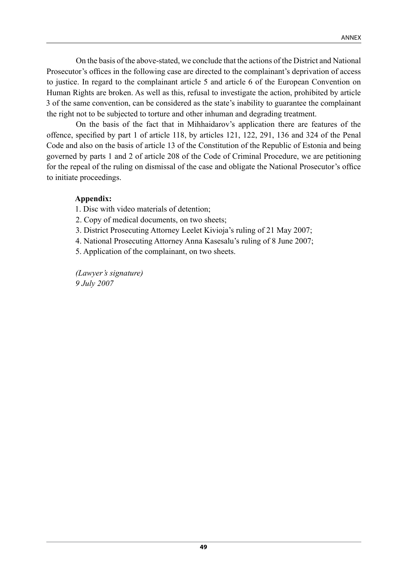On the basis of the above-stated, we conclude that the actions of the District and National Prosecutor's offices in the following case are directed to the complainant's deprivation of access to justice. In regard to the complainant article 5 and article 6 of the European Convention on Human Rights are broken. As well as this, refusal to investigate the action, prohibited by article 3 of the same convention, can be considered as the state's inability to guarantee the complainant the right not to be subjected to torture and other inhuman and degrading treatment.

On the basis of the fact that in Mihhaidarov's application there are features of the offence, specified by part 1 of article 118, by articles 121, 122, 291, 136 and 324 of the Penal Code and also on the basis of article 13 of the Constitution of the Republic of Estonia and being governed by parts 1 and 2 of article 208 of the Code of Criminal Procedure, we are petitioning for the repeal of the ruling on dismissal of the case and obligate the National Prosecutor's office to initiate proceedings.

#### **Appendix:**

1. Disc with video materials of detention;

2. Copy of medical documents, on two sheets;

3. District Prosecuting Attorney Leelet Kivioja's ruling of 21 May 2007;

4. National Prosecuting Attorney Anna Kasesalu's ruling of 8 June 2007;

5. Application of the complainant, on two sheets.

*(Lawyer's signature) 9 July 2007*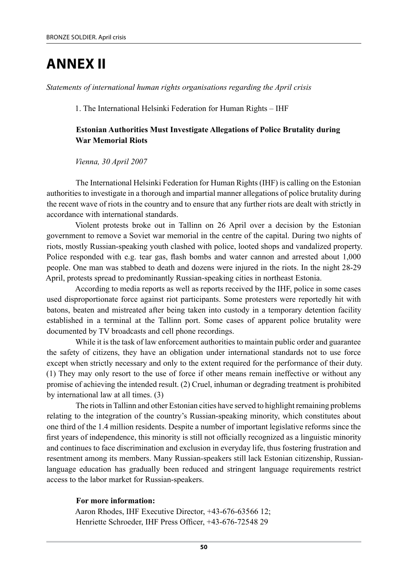# **Annex II**

*Statements of international human rights organisations regarding the April crisis*

1. The International Helsinki Federation for Human Rights – IHF

#### **Estonian Authorities Must Investigate Allegations of Police Brutality during War Memorial Riots**

*Vienna, 30 April 2007*

The International Helsinki Federation for Human Rights (IHF) is calling on the Estonian authorities to investigate in a thorough and impartial manner allegations of police brutality during the recent wave of riots in the country and to ensure that any further riots are dealt with strictly in accordance with international standards.

Violent protests broke out in Tallinn on 26 April over a decision by the Estonian government to remove a Soviet war memorial in the centre of the capital. During two nights of riots, mostly Russian-speaking youth clashed with police, looted shops and vandalized property. Police responded with e.g. tear gas, flash bombs and water cannon and arrested about 1,000 people. One man was stabbed to death and dozens were injured in the riots. In the night 28-29 April, protests spread to predominantly Russian-speaking cities in northeast Estonia.

According to media reports as well as reports received by the IHF, police in some cases used disproportionate force against riot participants. Some protesters were reportedly hit with batons, beaten and mistreated after being taken into custody in a temporary detention facility established in a terminal at the Tallinn port. Some cases of apparent police brutality were documented by TV broadcasts and cell phone recordings.

While it is the task of law enforcement authorities to maintain public order and guarantee the safety of citizens, they have an obligation under international standards not to use force except when strictly necessary and only to the extent required for the performance of their duty. (1) They may only resort to the use of force if other means remain ineffective or without any promise of achieving the intended result. (2) Cruel, inhuman or degrading treatment is prohibited by international law at all times. (3)

The riots in Tallinn and other Estonian cities have served to highlight remaining problems relating to the integration of the country's Russian-speaking minority, which constitutes about one third of the 1.4 million residents. Despite a number of important legislative reforms since the first years of independence, this minority is still not officially recognized as a linguistic minority and continues to face discrimination and exclusion in everyday life, thus fostering frustration and resentment among its members. Many Russian-speakers still lack Estonian citizenship, Russianlanguage education has gradually been reduced and stringent language requirements restrict access to the labor market for Russian-speakers.

#### **For more information:**

Aaron Rhodes, IHF Executive Director, +43-676-63566 12; Henriette Schroeder, IHF Press Officer, +43-676-72548 29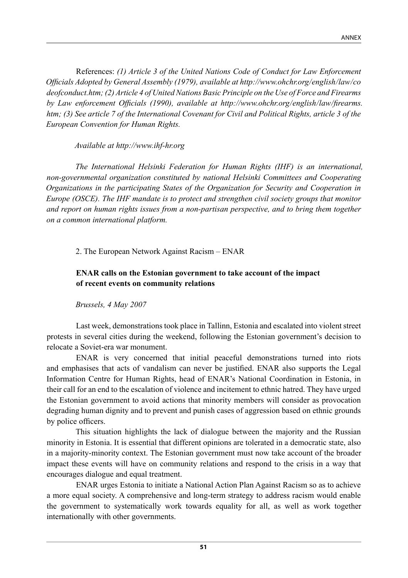References: *(1) Article 3 of the United Nations Code of Conduct for Law Enforcement Officials Adopted by General Assembly (1979), available at http://www.ohchr.org/english/law/co deofconduct.htm; (2) Article 4 of United Nations Basic Principle on the Use of Force and Firearms by Law enforcement Officials (1990), available at http://www.ohchr.org/english/law/firearms. htm; (3) See article 7 of the International Covenant for Civil and Political Rights, article 3 of the European Convention for Human Rights.*

*Available at http://www.ihf-hr.org*

*The International Helsinki Federation for Human Rights (IHF) is an international, non-governmental organization constituted by national Helsinki Committees and Cooperating Organizations in the participating States of the Organization for Security and Cooperation in Europe (OSCE). The IHF mandate is to protect and strengthen civil society groups that monitor and report on human rights issues from a non-partisan perspective, and to bring them together on a common international platform.*

2. The European Network Against Racism – ENAR

#### **ENAR calls on the Estonian government to take account of the impact of recent events on community relations**

*Brussels, 4 May 2007*

Last week, demonstrations took place in Tallinn, Estonia and escalated into violent street protests in several cities during the weekend, following the Estonian government's decision to relocate a Soviet-era war monument.

ENAR is very concerned that initial peaceful demonstrations turned into riots and emphasises that acts of vandalism can never be justified. ENAR also supports the Legal Information Centre for Human Rights, head of ENAR's National Coordination in Estonia, in their call for an end to the escalation of violence and incitement to ethnic hatred. They have urged the Estonian government to avoid actions that minority members will consider as provocation degrading human dignity and to prevent and punish cases of aggression based on ethnic grounds by police officers.

This situation highlights the lack of dialogue between the majority and the Russian minority in Estonia. It is essential that different opinions are tolerated in a democratic state, also in a majority-minority context. The Estonian government must now take account of the broader impact these events will have on community relations and respond to the crisis in a way that encourages dialogue and equal treatment.

ENAR urges Estonia to initiate a National Action Plan Against Racism so as to achieve a more equal society. A comprehensive and long-term strategy to address racism would enable the government to systematically work towards equality for all, as well as work together internationally with other governments.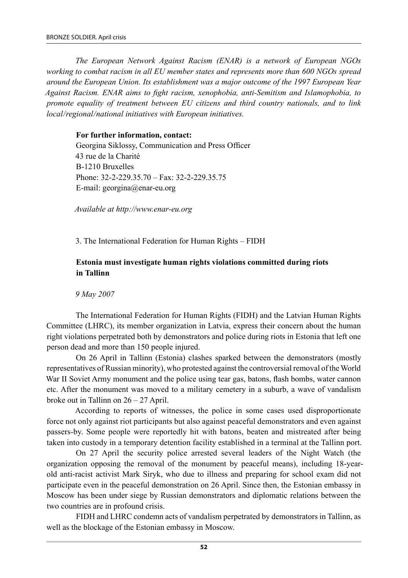*The European Network Against Racism (ENAR) is a network of European NGOs working to combat racism in all EU member states and represents more than 600 NGOs spread around the European Union. Its establishment was a major outcome of the 1997 European Year Against Racism. ENAR aims to fight racism, xenophobia, anti-Semitism and Islamophobia, to promote equality of treatment between EU citizens and third country nationals, and to link local/regional/national initiatives with European initiatives.*

#### **For further information, contact:**

Georgina Siklossy, Communication and Press Officer 43 rue de la Charité B-1210 Bruxelles Phone: 32-2-229.35.70 – Fax: 32-2-229.35.75 E-mail: georgina@enar-eu.org

*Available at http://www.enar-eu.org*

3. The International Federation for Human Rights – FIDH

#### **Estonia must investigate human rights violations committed during riots in Tallinn**

*9 May 2007*

The International Federation for Human Rights (FIDH) and the Latvian Human Rights Committee (LHRC), its member organization in Latvia, express their concern about the human right violations perpetrated both by demonstrators and police during riots in Estonia that left one person dead and more than 150 people injured.

On 26 April in Tallinn (Estonia) clashes sparked between the demonstrators (mostly representatives of Russian minority), who protested against the controversial removal of the World War II Soviet Army monument and the police using tear gas, batons, flash bombs, water cannon etc. After the monument was moved to a military cemetery in a suburb, a wave of vandalism broke out in Tallinn on 26 – 27 April.

According to reports of witnesses, the police in some cases used disproportionate force not only against riot participants but also against peaceful demonstrators and even against passers-by. Some people were reportedly hit with batons, beaten and mistreated after being taken into custody in a temporary detention facility established in a terminal at the Tallinn port.

On 27 April the security police arrested several leaders of the Night Watch (the organization opposing the removal of the monument by peaceful means), including 18-yearold anti-racist activist Mark Siryk, who due to illness and preparing for school exam did not participate even in the peaceful demonstration on 26 April. Since then, the Estonian embassy in Moscow has been under siege by Russian demonstrators and diplomatic relations between the two countries are in profound crisis.

FIDH and LHRC condemn acts of vandalism perpetrated by demonstrators in Tallinn, as well as the blockage of the Estonian embassy in Moscow.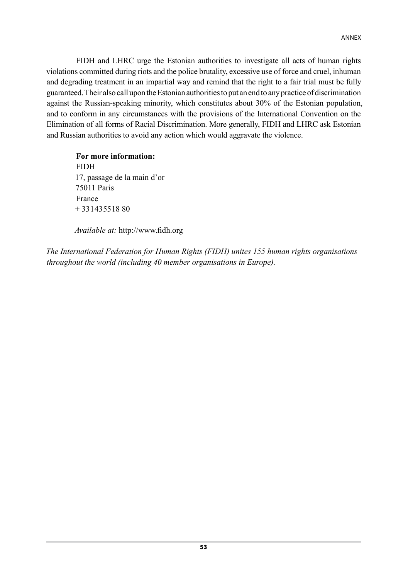FIDH and LHRC urge the Estonian authorities to investigate all acts of human rights violations committed during riots and the police brutality, excessive use of force and cruel, inhuman and degrading treatment in an impartial way and remind that the right to a fair trial must be fully guaranteed. Their also call upon the Estonian authorities to put an end to any practice of discrimination against the Russian-speaking minority, which constitutes about 30% of the Estonian population, and to conform in any circumstances with the provisions of the International Convention on the Elimination of all forms of Racial Discrimination. More generally, FIDH and LHRC ask Estonian and Russian authorities to avoid any action which would aggravate the violence.

**For more information:** FIDH 17, passage de la main d'or 75011 Paris France  $+ 33143551880$ 

*Available at:* http://www.fidh.org

*The International Federation for Human Rights (FIDH) unites 155 human rights organisations throughout the world (including 40 member organisations in Europe).*